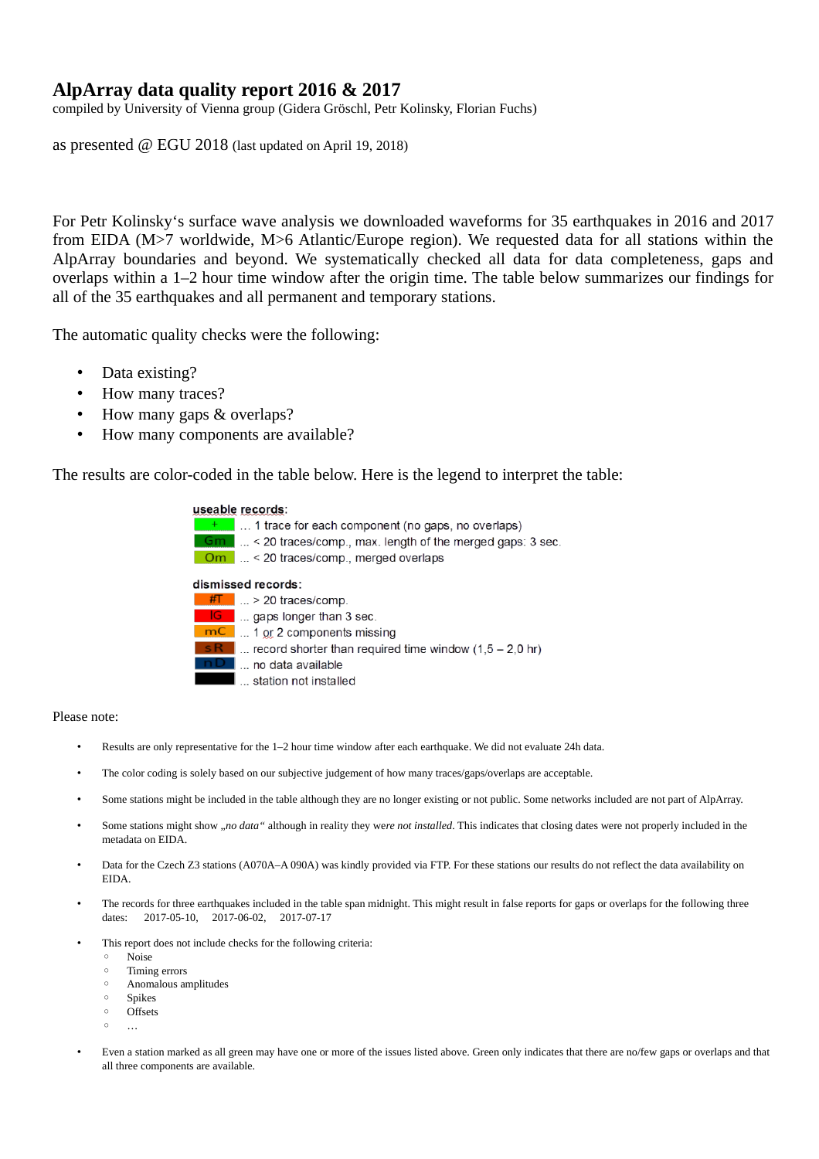## **AlpArray data quality report 2016 & 2017**

compiled by University of Vienna group (Gidera Gröschl, Petr Kolinsky, Florian Fuchs)

as presented @ EGU 2018 (last updated on April 19, 2018)

For Petr Kolinsky's surface wave analysis we downloaded waveforms for 35 earthquakes in 2016 and 2017 from EIDA (M>7 worldwide, M>6 Atlantic/Europe region). We requested data for all stations within the AlpArray boundaries and beyond. We systematically checked all data for data completeness, gaps and overlaps within a 1–2 hour time window after the origin time. The table below summarizes our findings for all of the 35 earthquakes and all permanent and temporary stations.

The automatic quality checks were the following:

- Data existing?
- How many traces?
- How many gaps & overlaps?
- How many components are available?

The results are color-coded in the table below. Here is the legend to interpret the table:





## Please note:

- Results are only representative for the 1–2 hour time window after each earthquake. We did not evaluate 24h data.
- The color coding is solely based on our subjective judgement of how many traces/gaps/overlaps are acceptable.
- Some stations might be included in the table although they are no longer existing or not public. Some networks included are not part of AlpArray.
- Some stations might show "no data" although in reality they were not installed. This indicates that closing dates were not properly included in the metadata on EIDA.
- Data for the Czech Z3 stations (A070A–A 090A) was kindly provided via FTP. For these stations our results do not reflect the data availability on EIDA.
- The records for three earthquakes included in the table span midnight. This might result in false reports for gaps or overlaps for the following three dates: 2017-05-10, 2017-06-02, 2017-07-17
- This report does not include checks for the following criteria:
	- Noise
	- Timing errors
	- Anomalous amplitudes
	- Spikes ◦ Offsets
	- …
- Even a station marked as all green may have one or more of the issues listed above. Green only indicates that there are no/few gaps or overlaps and that all three components are available.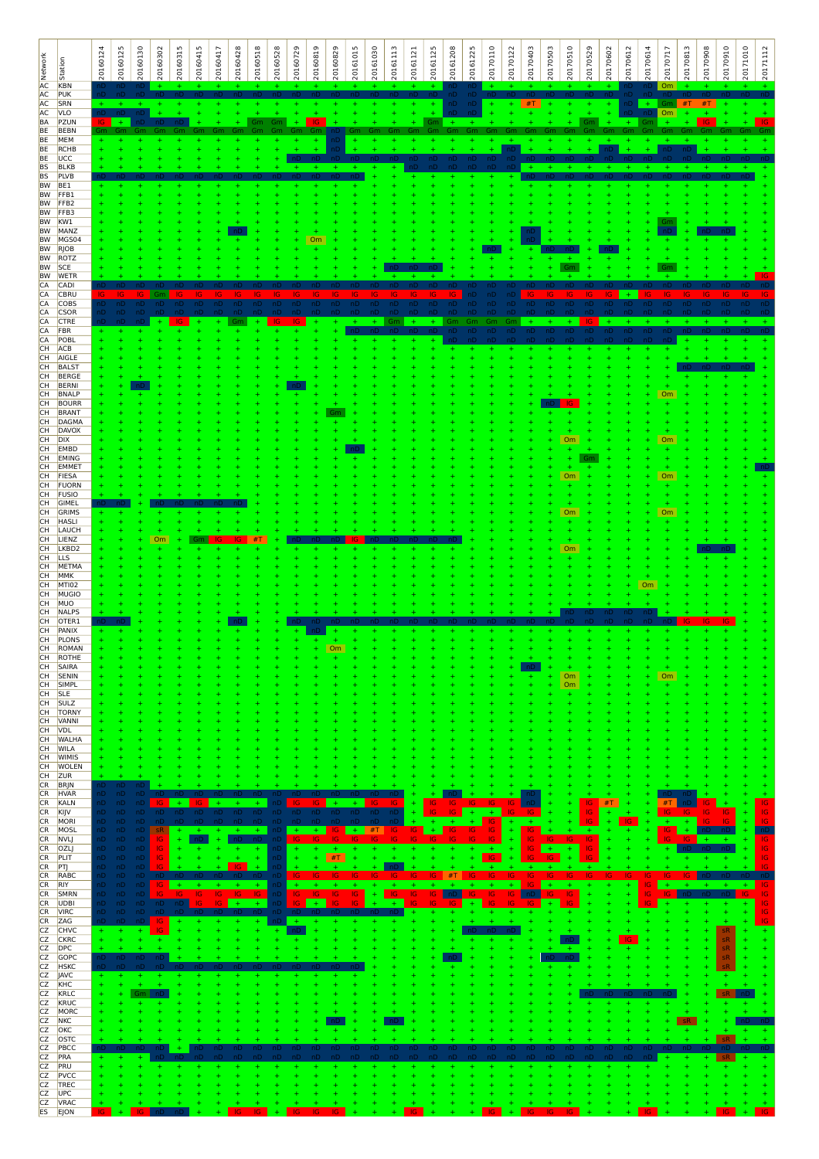| <b>A</b><br>Retwork                    | Station                           | 20160124     | 20160125   | 20160130         | 20160302    | 20160315   | 20160415 | 20160417   | 20160428   | 20160518   | 20160528 | 20160729  | 20160819 | 20160829 | 20161015  | 20161030 | 20161113 | 20161121 | 20161125 | 20161208 | 20161225 | 20170110  | 20170122 | 20170403  | 20170503 | 20170510<br>20170529 | 20170602 | 20170612  | 20170614        | 20170717  | 20170813  | 20170908 | 20170910               | 20171010 | 20171112   |
|----------------------------------------|-----------------------------------|--------------|------------|------------------|-------------|------------|----------|------------|------------|------------|----------|-----------|----------|----------|-----------|----------|----------|----------|----------|----------|----------|-----------|----------|-----------|----------|----------------------|----------|-----------|-----------------|-----------|-----------|----------|------------------------|----------|------------|
| AC                                     | KBN<br>PUK                        |              |            |                  |             |            |          |            |            |            |          |           |          |          |           |          |          |          |          |          |          |           |          |           |          |                      |          |           |                 |           |           |          |                        |          |            |
| AC<br><b>AC</b><br>BA                  | SRN<br><b>VLO</b><br>PZUN         | nD           | $+$        |                  |             |            |          |            |            |            | Gm       |           | 1G       |          |           |          |          |          | Gm       |          |          |           |          | #T        |          | Gm                   |          | nD<br>$+$ | $+$             | <b>Om</b> |           |          |                        |          |            |
| BE                                     | BEBN<br>MEM                       |              |            |                  |             |            |          |            |            |            |          |           |          |          |           |          |          |          |          |          |          |           |          |           |          |                      |          |           |                 |           |           |          |                        |          |            |
| BE<br>BE                               | RCHB                              |              |            |                  |             |            |          |            |            |            |          |           |          |          |           |          |          |          |          |          |          |           |          |           |          |                      |          |           |                 |           |           |          |                        |          |            |
| <b>BE</b><br><b>BS</b>                 | UCC<br><b>BLKB</b>                |              |            |                  |             |            |          |            |            |            |          |           |          |          |           |          |          |          |          |          |          |           |          |           |          |                      |          |           |                 |           |           |          |                        |          |            |
| <b>BS</b><br><b>BW</b>                 | PLVB<br>BE <sub>1</sub>           |              |            |                  |             |            |          |            |            |            |          |           |          |          |           |          |          |          |          |          |          |           |          |           |          |                      |          |           |                 |           |           |          |                        |          |            |
| BW<br><b>BW</b>                        | FFB1<br>FFB <sub>2</sub>          |              |            |                  |             |            |          |            |            |            |          |           |          |          |           |          |          |          |          |          |          |           |          |           |          |                      |          |           |                 |           |           |          |                        |          |            |
| <b>BW</b><br><b>BW</b>                 | FFB3<br>KW1                       |              |            |                  |             |            |          |            |            |            |          |           |          |          |           |          |          |          |          |          |          |           |          |           |          |                      |          |           |                 |           |           |          |                        |          |            |
| BW<br><b>BW</b>                        | MANZ<br>MGS04                     |              |            |                  |             |            |          |            |            |            |          |           | Om       |          |           |          |          |          |          |          |          |           |          |           |          |                      |          |           |                 |           |           |          |                        |          |            |
| <b>BW</b><br>BW                        | <b>RJOB</b><br>ROTZ               |              |            |                  |             |            |          |            |            |            |          |           |          |          |           |          |          |          |          |          |          |           |          |           |          |                      |          |           |                 |           |           |          |                        |          |            |
| BW SCE                                 | BW WETR                           |              |            |                  |             |            |          |            |            |            |          |           |          |          |           |          |          |          |          |          |          |           |          |           |          | Gm                   |          |           |                 |           |           |          |                        |          |            |
| <b>CA</b><br>CA                        | CADI<br><b>CBRU</b>               |              |            | IG               | Gm          |            |          |            |            |            |          |           |          |          |           |          |          |          |          |          |          |           |          |           |          |                      |          |           |                 |           |           |          |                        |          |            |
| CA<br>CA                               | COBS<br><b>CSOR</b>               | ۱D٠          |            | nD               |             |            | nD       |            |            |            |          | nD        | nD       | nD       |           |          |          |          |          |          |          |           |          |           |          |                      |          |           |                 |           |           |          |                        |          |            |
| CA<br>CA                               | <b>CTRE</b><br>FBR                |              |            |                  |             |            |          |            |            |            |          |           |          |          |           |          |          |          |          | Эm       | nD       | эm<br>nD  | ٦m<br>nD |           | nD       | nD                   |          |           |                 |           |           |          |                        |          |            |
| CA<br>CH                               | POBL<br>ACB                       |              |            |                  |             |            |          |            |            |            |          |           |          |          |           |          |          |          |          |          |          |           |          |           |          |                      |          |           |                 |           |           |          |                        |          |            |
| CH<br>CH                               | AIGLE<br><b>BALST</b>             |              |            |                  |             |            |          |            |            |            |          |           |          |          |           |          |          |          |          |          |          |           |          |           |          |                      |          |           |                 |           |           |          |                        |          |            |
| CH<br>CH                               | <b>BERGE</b><br><b>BERNI</b>      |              |            |                  |             |            |          |            |            |            |          |           |          |          |           |          |          |          |          |          |          |           |          |           |          |                      |          |           |                 |           |           |          |                        |          |            |
| CH                                     | <b>BNALP</b><br><b>BOURR</b>      |              |            |                  |             |            |          |            |            |            |          |           |          |          |           |          |          |          |          |          |          |           |          |           |          |                      |          |           |                 | Om        |           |          |                        |          |            |
| CH <sub></sub><br>CH <sub></sub><br>CH | <b>BRANT</b><br>DAGMA             |              |            |                  |             |            |          |            |            |            |          |           |          |          |           |          |          |          |          |          |          |           |          |           |          |                      |          |           |                 |           |           |          |                        |          |            |
| CH<br>CH                               | <b>DAVOX</b><br><b>DIX</b>        |              |            |                  |             |            |          |            |            |            |          |           |          |          |           |          |          |          |          |          |          |           |          |           |          |                      |          |           |                 |           |           |          |                        |          |            |
| CH                                     | EMBD                              |              |            |                  |             |            |          |            |            |            |          |           |          |          |           |          |          |          |          |          |          |           |          |           |          | Om<br>÷              |          |           |                 | Om        |           |          |                        |          |            |
| CH<br>CH                               | EMING<br>EMMET                    |              |            |                  |             |            |          |            |            |            |          |           |          |          |           |          |          |          |          |          |          |           |          |           |          | $\pm$<br>÷           |          |           |                 | ÷         |           |          |                        |          |            |
| CH<br>CH                               | FIESA<br>FUORN                    |              |            |                  |             |            |          |            |            |            |          |           |          |          |           |          |          |          |          |          |          |           |          |           |          | Om                   |          |           |                 | Om        |           |          |                        |          |            |
| CH<br>CH                               | <b>FUSIO</b><br><b>GIMEL</b>      |              |            |                  |             |            |          |            |            |            |          |           |          |          |           |          |          |          |          |          |          |           |          |           |          |                      |          |           |                 |           |           |          |                        |          |            |
| CH<br>CH                               | GRIMS<br><b>HASL</b>              |              |            |                  |             |            |          |            |            |            |          |           |          |          |           |          |          |          |          |          |          |           |          |           |          | Om                   |          |           |                 | Om        |           |          |                        |          |            |
| CH<br>CH                               | LAUCH<br>LIENZ                    |              |            |                  | Om          |            |          |            |            |            |          |           |          |          |           |          |          |          |          |          |          |           |          |           |          |                      |          |           |                 |           |           |          |                        |          |            |
| CH<br>CH                               | LKBD <sub>2</sub><br>LLS          |              |            |                  |             |            |          |            |            |            |          |           |          |          |           |          |          |          |          |          |          |           |          |           |          | Om                   |          |           |                 |           |           |          |                        |          |            |
| CH<br>CH                               | METMA<br>MMK                      |              |            |                  |             |            |          |            |            |            |          |           |          |          |           |          |          |          |          |          |          |           |          |           |          |                      |          |           |                 |           |           |          |                        |          |            |
| CH<br>CH                               | MTI <sub>02</sub><br><b>MUGIO</b> |              |            |                  |             |            |          |            |            |            |          |           |          |          |           |          |          |          |          |          |          |           |          |           |          |                      |          |           | Om              |           |           |          |                        |          |            |
| CH<br>CH                               | MUO<br>NALPS                      |              |            |                  |             |            |          |            |            |            |          |           |          |          |           |          |          |          |          |          |          |           |          |           |          |                      |          |           |                 |           |           |          |                        |          |            |
| CH<br>CH                               | OTER <sub>1</sub><br>PANIX        |              |            |                  |             |            |          |            |            |            |          |           |          |          |           |          |          |          |          |          |          |           |          |           |          |                      |          |           |                 |           |           |          |                        |          |            |
| CH<br>CH                               | PLONS<br>ROMAN                    |              |            |                  |             |            |          |            |            |            |          |           |          | Om       |           |          |          |          |          |          |          |           |          |           |          |                      |          |           |                 |           |           |          |                        |          |            |
| CH                                     | CH ROTHE<br>SAIRA                 |              |            |                  |             |            |          |            |            |            |          |           |          |          |           |          |          |          |          |          |          |           |          |           |          |                      |          |           |                 |           |           |          |                        |          |            |
| CH <sub>.</sub>                        | SENIN<br>CH SIMPL                 |              |            |                  |             |            |          |            |            |            |          |           |          |          |           |          |          |          |          |          |          |           |          |           |          | Om<br>Om             |          |           |                 | Om        |           |          |                        |          |            |
| CH SLE                                 | CH SULZ                           |              |            |                  |             |            |          |            |            |            |          |           |          |          |           |          |          |          |          |          |          |           |          |           |          |                      |          |           |                 |           |           |          |                        |          |            |
|                                        | CH <b>TORNY</b><br>CH VANNI       |              |            |                  |             |            |          |            |            |            |          |           |          |          |           |          |          |          |          |          |          |           |          |           |          |                      |          |           |                 |           |           |          |                        |          |            |
|                                        | CH VDL<br>CH WALHA                |              |            |                  |             |            |          |            |            |            |          |           |          |          |           |          |          |          |          |          |          |           |          |           |          |                      |          |           |                 |           |           |          |                        |          |            |
|                                        | CH WILA<br>CH WIMIS               |              |            |                  |             |            |          |            |            |            |          |           |          |          |           |          |          |          |          |          |          |           |          |           |          |                      |          |           |                 |           |           |          |                        |          |            |
|                                        | CH WOLEN<br>CH ZUR                |              |            |                  |             |            |          |            |            |            |          |           |          |          |           |          |          |          |          |          |          |           |          |           |          |                      |          |           |                 |           |           |          |                        |          |            |
|                                        | CR BRJN<br>CR HVAR                | nD.<br>٦D٠   | пD<br>nD.  | пD<br>nD         |             |            |          |            |            |            |          |           |          |          |           |          |          |          |          |          |          |           |          |           |          |                      |          |           |                 |           |           |          |                        |          |            |
| <b>CR</b><br>CR                        | KALN<br>KIJV                      | nD.<br>٦D.   | nD.<br>nD. | nD<br>nD         | - 16<br>nD. | $+$<br>nD. |          |            |            | $+$        |          |           |          | nD.      | nD        |          | 1G.      |          |          | 1G       |          |           |          |           |          | IG<br>IG             | #T       |           |                 | #T        |           | IG.      | IG                     |          | IG         |
| <b>CR</b>                              | MORI<br>CR MOSL                   | ۱D.<br>nD.   | nD.<br>nD  | nD.<br>$nD$ $SR$ |             |            |          |            | $+$        | $+$        | -nD      | $+$       | $+1$     | -IG      | $+$ #T IG |          |          | IG.      | $+$      | IG.      | IG.      | IG.<br>IG | ÷        | IG.       |          | IG<br>÷              | ÷        | IG.       |                 | IG.       | $+$<br>÷. | IG.      | IG                     |          | IG.<br>nD. |
| <b>CR</b><br><b>CR</b>                 | <b>NVLJ</b><br>OZLJ               | nD.<br>nD.   | nD.<br>nD. | nD<br>nD         | -IG<br>IG.  |            |          |            | nD.<br>$+$ | -nD<br>$+$ | nD<br>nD | -IG       | 1G       | $+$      |           |          |          |          |          |          |          | ÷         |          | IG<br>IG. |          | IG.<br>IG            |          |           |                 |           | IG.       | $+$      |                        |          | IG.<br>IG  |
| CR<br>CR                               | PLIT<br>PT                        | nD<br>nD -   | nD<br>nD.  | nD.<br>nD        | IG.         |            |          |            | IG.        | ÷          | nD       |           | ÷        | #T       |           |          |          |          |          |          |          | IG.       |          | <b>IG</b> | IG       |                      |          |           |                 |           |           |          |                        |          | IG.        |
| <b>CR</b>                              | CR RABC<br><b>RIY</b>             | nD -<br>nD - | nD.<br>nD. | nD.<br>nD        | -IG-        |            |          |            | $+$        | $+$        | nD       | -IG.      | IG.      | -IG.     |           |          |          |          |          | #1       |          |           |          |           |          |                      |          | IG.       | IG.             | $+$       | IG.       |          |                        |          | IG.        |
| <b>CR</b><br>CR                        | SMRN<br><b>UDBI</b>               | nD -<br>٦D.  | nD<br>nD.  | nD.<br>nD.       | nD.         | nD.        | IG.      | IG.<br>IG. |            |            |          | IG<br>IG. | $+$      | IG.      | IG        |          | 1G<br>÷. |          |          |          | -IG      | IG        | IG       |           | IG       | IG                   |          |           | IG<br><b>IG</b> | IG        |           |          |                        |          | IG<br>IG.  |
|                                        | CR VIRC<br>CR ZAG                 | nD.<br>٦D    | nD         | nD.<br>nD        | -IG         |            |          |            |            |            |          |           |          |          |           |          |          |          |          |          |          |           |          |           |          |                      |          |           |                 |           |           |          | ÷                      |          | IG<br>IG.  |
| CZ                                     | CZ CHVC<br><b>CKRC</b>            | $+$<br>÷     |            | ÷.               |             |            |          |            |            |            |          |           |          |          |           |          |          |          |          |          |          |           |          |           |          |                      |          |           |                 |           |           |          | ${\sf s}{\sf R}$<br>sR |          |            |
| CZ<br>CZ                               | <b>DPC</b><br>GOPC                | ٦D           | nD         | nD.              | nu          |            |          |            |            |            |          |           |          |          |           |          |          |          |          |          |          |           |          |           |          |                      |          |           |                 |           |           |          | sR<br>sR               |          |            |
| $\frac{CZ}{CZ}$                        | <b>HSKC</b><br>JAVC               |              |            |                  |             |            |          |            |            |            |          |           |          |          |           |          |          |          |          |          |          |           |          |           |          |                      |          |           |                 |           |           |          | ٤R                     |          |            |
| CZ<br>CZ                               | KHC<br>KRLC                       | ÷            |            |                  |             |            |          |            |            |            |          |           |          |          |           |          |          |          |          |          |          |           |          |           |          |                      |          |           |                 |           |           |          |                        |          |            |
| CZ<br>CZ                               | KRUC<br>MORC                      |              |            |                  |             |            |          |            |            |            |          |           |          |          |           |          |          |          |          |          |          |           |          |           |          |                      |          |           |                 |           |           |          |                        |          |            |
| CZ<br>CZ                               | <b>NKC</b><br>OKC                 |              |            |                  |             |            |          |            |            |            |          |           |          |          |           |          |          |          |          |          |          |           |          |           |          |                      |          |           |                 |           | sR        |          |                        |          |            |
| CZ<br>CZ                               | OSTC<br>PBCC                      |              |            |                  |             |            |          |            |            |            |          |           |          |          |           |          |          |          |          |          |          |           |          |           |          |                      |          |           |                 |           |           |          | sR                     |          |            |
| CZ                                     | PRA<br>PRU                        |              |            |                  |             |            |          |            |            |            |          |           |          |          |           |          |          |          |          |          |          |           |          |           |          |                      |          |           |                 |           |           |          |                        |          |            |
| CZ<br><b>CZ</b>                        | PVCC                              |              |            |                  |             |            |          |            |            |            |          |           |          |          |           |          |          |          |          |          |          |           |          |           |          |                      |          |           |                 |           |           |          |                        |          |            |
| cz<br>CZ                               | TREC<br>UPC                       |              |            |                  |             |            |          |            |            |            |          |           |          |          |           |          |          |          |          |          |          |           |          |           |          |                      |          |           |                 |           |           |          |                        |          |            |
| CZ                                     | <b>VRAC</b><br>ES EJON            |              |            |                  |             |            |          |            |            |            |          |           |          |          |           |          |          |          |          |          |          |           |          |           |          |                      |          |           |                 |           |           |          |                        |          |            |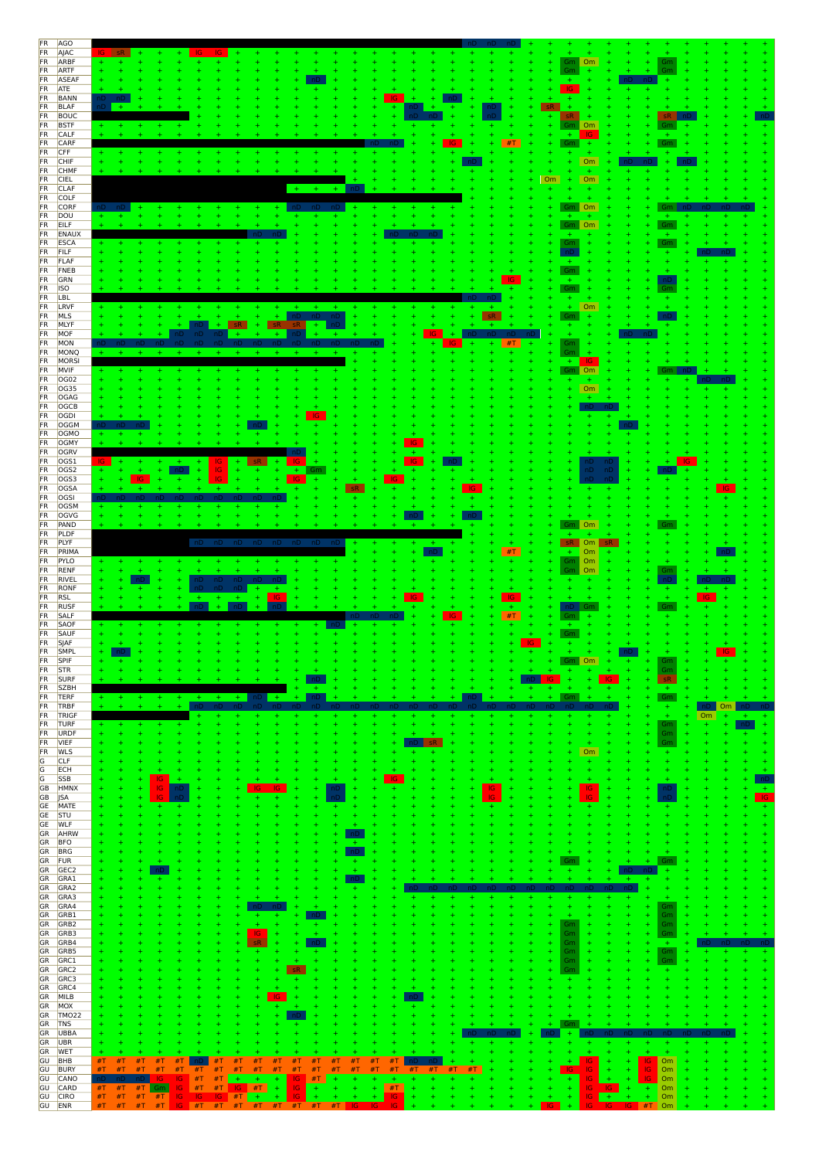| <b>FR</b>              | <b>AGO</b>                 |          |                     |                 |                  |     |                                                 |           |                        |            |                            |                |          |                            |     |           |           |     |    |             |                   |                        |                        |                                                 |                |    |  |
|------------------------|----------------------------|----------|---------------------|-----------------|------------------|-----|-------------------------------------------------|-----------|------------------------|------------|----------------------------|----------------|----------|----------------------------|-----|-----------|-----------|-----|----|-------------|-------------------|------------------------|------------------------|-------------------------------------------------|----------------|----|--|
| FR<br>FR               | AJAC                       |          |                     |                 |                  |     |                                                 |           |                        |            |                            |                |          |                            |     |           |           |     |    |             | Gm Om             |                        |                        |                                                 |                |    |  |
| FR                     | ARBF<br>ARTF               |          |                     |                 |                  |     |                                                 |           |                        |            |                            |                |          |                            |     |           |           |     |    |             | Gm                |                        |                        | $+$<br>Gm                                       |                |    |  |
| <b>FR</b>              | ASEAF                      |          |                     |                 |                  |     |                                                 |           |                        |            |                            |                |          |                            |     |           |           |     |    |             | ÷.                |                        |                        | nD.                                             |                |    |  |
| <b>FR</b>              | ATE                        |          |                     |                 |                  |     |                                                 |           |                        |            |                            |                |          |                            |     |           |           |     |    |             | IG.               |                        |                        |                                                 |                |    |  |
| FR<br><b>FR</b>        | <b>BANN</b><br><b>BLAF</b> |          |                     |                 |                  |     |                                                 |           |                        |            |                            |                |          | IG                         |     |           |           | ٦U  |    | sR          |                   |                        |                        |                                                 |                |    |  |
| FR                     | BOUC                       |          |                     |                 |                  |     |                                                 |           |                        |            |                            |                |          |                            |     |           |           |     |    |             | sR                |                        |                        | <b>sR</b>                                       |                |    |  |
| <b>FR</b>              | <b>BSTF</b>                |          |                     |                 |                  |     |                                                 |           |                        |            |                            |                |          |                            |     |           |           |     |    |             | Gm                | Om                     |                        | Gm                                              |                |    |  |
| <b>FR</b><br>FR        | CALF<br>CARF               |          |                     |                 |                  |     |                                                 |           |                        |            |                            |                |          |                            |     |           |           |     | #T |             | ÷.<br>Gm          | IG.                    |                        |                                                 |                |    |  |
| <b>FR</b>              | CFF                        |          |                     |                 |                  |     |                                                 |           |                        |            |                            |                |          |                            |     |           |           |     |    |             |                   | $+$                    |                        |                                                 |                |    |  |
| <b>FR</b>              | CHIF                       |          |                     |                 |                  |     |                                                 |           |                        |            |                            |                |          |                            |     |           |           |     |    |             | ÷                 | Om                     |                        |                                                 |                |    |  |
| <b>FR</b>              | CHMF                       |          |                     |                 |                  |     |                                                 |           |                        |            |                            |                |          |                            |     |           |           |     |    |             |                   |                        |                        |                                                 |                |    |  |
| FR<br><b>FR</b>        | <b>CIEL</b><br><b>CLAF</b> |          |                     |                 |                  |     |                                                 |           |                        | $+$        |                            |                |          |                            |     |           |           |     |    | Om<br>÷     | $\pm$<br>÷        | Om<br>÷                |                        |                                                 |                |    |  |
| <b>FR</b>              | COLF                       |          |                     |                 |                  |     |                                                 |           |                        |            |                            |                |          |                            |     |           |           |     |    | ÷.          |                   |                        |                        |                                                 |                |    |  |
| <b>FR</b>              | CORF                       |          |                     |                 |                  |     |                                                 |           |                        |            |                            |                |          |                            |     |           |           |     |    |             | Gm Om             |                        |                        | Gm.                                             |                |    |  |
| <b>FR</b>              | DOU                        |          |                     |                 |                  |     |                                                 |           |                        |            |                            |                |          |                            |     |           |           |     |    |             | $\pm$             |                        |                        |                                                 |                |    |  |
| <b>FR</b><br><b>FR</b> | EILF<br>ENAUX              |          |                     |                 |                  |     |                                                 |           |                        |            |                            |                |          |                            |     |           |           |     |    |             | Gm Om<br>÷        |                        |                        | Gm<br>÷.                                        |                |    |  |
| <b>FR</b>              | ESCA                       |          |                     |                 |                  |     |                                                 |           |                        |            |                            |                |          |                            |     |           |           |     |    |             | Gm                |                        |                        | Gm                                              |                |    |  |
| <b>FR</b>              | <b>FILF</b>                |          |                     |                 |                  |     |                                                 |           |                        |            |                            |                |          |                            |     |           |           |     |    |             | nD                |                        |                        |                                                 |                |    |  |
| <b>FR</b><br>FR        | FLAF<br>FNEB               |          |                     |                 |                  |     |                                                 |           |                        |            |                            |                |          |                            |     |           |           |     |    |             | $+$<br>${\sf Gm}$ |                        |                        |                                                 |                |    |  |
| <b>FR</b>              | GRN                        |          |                     |                 |                  |     |                                                 |           |                        |            |                            |                |          |                            |     |           |           |     |    |             | ÷.                |                        |                        | пD                                              |                |    |  |
| FR                     | <b>ISO</b>                 |          |                     |                 |                  |     |                                                 |           |                        |            |                            |                |          |                            |     |           |           |     |    |             | ${\sf Gm}$        |                        |                        | Gm                                              |                |    |  |
| FR                     | LBL                        |          |                     |                 |                  |     |                                                 |           |                        |            |                            |                |          |                            |     |           |           |     |    |             | ÷                 |                        |                        |                                                 |                |    |  |
| <b>FR</b><br><b>FR</b> | LRVF<br>MLS                |          |                     |                 |                  |     |                                                 |           | ÷.                     | ÷<br>nD.   |                            | ÷<br>nD        |          |                            |     |           |           |     |    |             | $+$<br>Gm         | $\Box$ Om<br>4         |                        |                                                 |                |    |  |
| FR                     | MLYF                       |          |                     |                 |                  | ٦D. | $+$                                             | sR.<br>÷  | <b>SR</b>              |            | ÷.                         |                |          |                            |     |           |           |     |    |             |                   |                        |                        |                                                 |                |    |  |
| FR                     | MOF                        |          |                     |                 | ٦D.              | nD. | -nD                                             |           | $+$                    |            |                            |                |          |                            |     |           |           |     |    |             |                   |                        |                        |                                                 |                |    |  |
| FR<br><b>FR</b>        | MON<br>MONQ                |          |                     |                 |                  |     |                                                 |           | $+$                    | $+$        |                            |                |          |                            |     | IG        |           |     | #T |             | Gm<br>Gm          |                        |                        |                                                 |                |    |  |
| FR                     | MORSI                      |          |                     |                 |                  |     |                                                 |           |                        |            |                            |                |          |                            |     |           |           |     |    |             | $+$               | IG.                    |                        |                                                 |                |    |  |
| FR                     | MVIF                       |          |                     |                 |                  |     |                                                 |           |                        |            |                            |                |          |                            |     |           |           |     |    |             | Gm Om             |                        |                        | Gm                                              |                |    |  |
| FR                     | OG02                       |          |                     |                 |                  |     |                                                 |           |                        |            |                            |                |          |                            |     |           |           |     |    |             |                   |                        |                        |                                                 |                |    |  |
| FR<br><b>FR</b>        | OG35<br>OGAG               |          |                     |                 |                  |     |                                                 |           |                        |            |                            |                |          |                            |     |           |           |     |    |             |                   | <b>Om</b><br>÷         |                        |                                                 |                |    |  |
| <b>FR</b>              | OGCB                       |          |                     |                 |                  |     |                                                 |           |                        |            |                            |                |          |                            |     |           |           |     |    |             |                   |                        |                        |                                                 |                |    |  |
| FR                     | OGDI                       |          |                     |                 |                  |     |                                                 |           |                        |            |                            |                |          |                            |     |           |           |     |    |             |                   |                        |                        |                                                 |                |    |  |
| <b>FR</b>              | OGGM                       |          |                     |                 |                  |     |                                                 |           |                        |            |                            |                |          |                            |     |           |           |     |    |             |                   |                        |                        |                                                 |                |    |  |
| FR<br><b>FR</b>        | OGMO<br>OGMY               |          |                     |                 |                  |     |                                                 |           |                        |            |                            |                |          |                            | IG. |           |           |     |    |             |                   |                        |                        |                                                 |                |    |  |
| <b>FR</b>              | OGRV                       |          |                     |                 |                  |     |                                                 |           |                        |            |                            |                |          |                            |     |           |           |     |    |             |                   |                        |                        |                                                 |                |    |  |
| FR                     | OGS1                       |          |                     |                 |                  |     | 1G.                                             |           |                        |            |                            |                |          |                            | IG. |           |           |     |    |             |                   | ٦D                     | ٦D                     |                                                 |                |    |  |
| FR                     | OGS <sub>2</sub>           |          |                     |                 |                  |     | IG.                                             |           | $\ddot{}$              | $+$<br>-IG | Gm                         |                |          | IG.                        |     |           |           |     |    |             |                   | nD<br>nD               |                        |                                                 |                |    |  |
| FR<br><b>FR</b>        | OGS3<br>OGSA               |          |                     | IG.<br>÷        |                  |     | Ŧ.                                              |           |                        |            |                            |                |          |                            |     |           | <b>IG</b> |     |    |             |                   |                        |                        |                                                 |                |    |  |
| <b>FR</b>              | OGSI                       |          |                     |                 |                  |     |                                                 |           |                        |            |                            |                |          |                            |     |           |           |     |    |             |                   |                        |                        |                                                 |                |    |  |
| FR                     | OGSM                       |          |                     |                 |                  |     |                                                 |           |                        |            |                            |                |          |                            |     |           |           |     |    |             |                   |                        |                        |                                                 |                |    |  |
| FR<br>FR               | OGVG<br>PAND               |          |                     |                 |                  |     |                                                 |           |                        |            |                            |                |          |                            |     |           |           |     |    |             | Gm Om             |                        |                        |                                                 |                |    |  |
| <b>FR</b>              | PLDF                       |          |                     |                 |                  |     |                                                 |           |                        |            |                            |                |          |                            |     |           |           |     |    |             |                   |                        |                        |                                                 |                |    |  |
| FR                     | PLYF                       |          |                     |                 |                  | nD  | nD                                              | nD        | nD                     | nD.        | nD.                        |                |          |                            |     |           |           |     |    |             | sR.               | $\mathsf{O}\mathsf{m}$ |                        |                                                 |                |    |  |
| <b>FR</b>              | PRIMA                      |          |                     |                 |                  |     |                                                 |           |                        |            |                            |                |          |                            |     |           |           |     | #T |             | ÷.                | Om                     |                        |                                                 |                |    |  |
| <b>FR</b>              | PYLO<br>RENF               |          |                     |                 |                  |     |                                                 |           |                        |            |                            |                |          |                            |     |           |           |     |    |             | Gm<br>Gm   Om     | Om                     |                        | Gm                                              |                |    |  |
|                        |                            |          |                     |                 |                  |     |                                                 |           |                        |            |                            |                |          |                            |     |           |           |     |    |             |                   |                        |                        |                                                 |                |    |  |
| FR                     |                            |          |                     |                 |                  |     |                                                 |           |                        |            |                            |                |          |                            |     |           |           |     |    |             |                   |                        |                        |                                                 |                |    |  |
| <b>FR</b><br><b>FR</b> | RIVEL<br>RONF              |          |                     |                 |                  | nD. | nD nD nD<br>nD                                  | nD<br>÷   | $+$                    |            |                            |                |          |                            |     |           |           |     |    |             |                   |                        |                        | ÷                                               |                |    |  |
| FR                     | <b>RSL</b>                 |          |                     |                 |                  | Ŧ.  |                                                 | ÷<br>÷    | IG.                    |            |                            |                |          |                            |     |           |           |     | IG |             |                   |                        |                        | ÷                                               |                |    |  |
| FR                     | <b>RUSF</b>                |          |                     |                 |                  | nD. | $+$                                             | nD.       |                        |            |                            |                |          |                            |     | <b>IG</b> |           |     |    |             | пD<br>Gm          |                        |                        | Gm                                              |                |    |  |
| FR<br><b>FR</b>        | SALF<br>SAOF               |          |                     |                 |                  |     |                                                 |           |                        |            |                            |                |          |                            |     |           |           |     | #T |             |                   |                        |                        |                                                 |                |    |  |
| <b>FR</b>              | SAUF                       |          |                     |                 |                  |     |                                                 |           |                        |            |                            |                |          |                            |     |           |           |     |    |             | Gm                |                        |                        |                                                 |                |    |  |
| <b>FR</b>              | SJAF                       |          |                     |                 |                  |     |                                                 |           |                        |            |                            |                |          |                            |     |           |           |     | IG |             |                   |                        |                        |                                                 |                |    |  |
| <b>FR</b>              | SMPL                       |          |                     |                 |                  |     |                                                 |           |                        |            |                            |                |          |                            |     |           |           |     |    |             |                   |                        |                        |                                                 |                |    |  |
| FR<br><b>FR</b>        | SPIF<br><b>STR</b>         |          |                     |                 |                  |     |                                                 |           |                        |            |                            |                |          |                            |     |           |           |     |    | $\ddotplus$ | Gm Om<br>÷        |                        |                        | Gm<br>Gm                                        |                |    |  |
| <b>FR</b>              | SURF                       |          |                     |                 |                  |     |                                                 |           |                        |            |                            |                |          |                            |     |           |           |     |    | IG.         | ÷                 |                        |                        | sR.                                             |                |    |  |
| <b>FR</b>              | <b>SZBH</b>                |          |                     |                 |                  |     |                                                 |           | $+$                    |            |                            |                |          |                            |     |           |           |     |    |             |                   |                        |                        | $\pm$                                           |                |    |  |
| FR<br>FR               | <b>TERF</b><br>TRBF        |          |                     |                 |                  | $+$ | $+$                                             | nD<br>$+$ |                        |            | nD,                        |                |          |                            |     |           |           |     |    |             | Gm                |                        |                        | Gm<br>÷                                         | $\overline{+}$ | Om |  |
| FR                     | TRIGF                      |          |                     |                 |                  |     |                                                 |           |                        |            |                            |                |          |                            |     |           |           |     |    |             |                   |                        |                        | $+$                                             |                | Om |  |
| FR                     | <b>TURF</b>                |          |                     |                 |                  |     |                                                 |           |                        |            |                            |                |          |                            |     |           |           |     |    |             | ÷                 | ÷                      |                        | Gm                                              |                |    |  |
| <b>FR</b><br>FR        | URDF<br><b>VIEF</b>        |          |                     |                 |                  |     |                                                 |           |                        |            |                            |                |          |                            |     |           |           |     |    |             | Ŧ                 | ÷<br>$+$               |                        | Gm<br>Gm                                        |                |    |  |
| FR                     | <b>WLS</b>                 |          |                     |                 |                  |     |                                                 |           |                        |            |                            |                |          |                            |     |           |           |     |    |             |                   | Om                     |                        |                                                 |                |    |  |
|                        | <b>CLF</b>                 |          |                     |                 |                  |     |                                                 |           |                        |            |                            |                |          |                            |     |           |           |     |    |             |                   | ÷                      |                        |                                                 |                |    |  |
| $rac{G}{G}$            | ECH<br><b>SSB</b>          | Ŧ        |                     | ٠<br>÷          |                  |     |                                                 |           |                        |            |                            |                |          |                            |     |           |           |     |    |             |                   | ÷                      |                        |                                                 |                |    |  |
| $\boxed{G}$<br>GB      | HMNX                       |          |                     | IG<br>IG<br>÷   | nD               |     |                                                 |           |                        |            |                            | пD             |          |                            |     |           |           | IG. |    |             |                   | IG.                    |                        | пD                                              |                |    |  |
| GB                     | <b>JSA</b>                 |          |                     | IG              |                  |     |                                                 |           |                        |            |                            |                |          |                            |     |           |           | IG. |    |             |                   | IG.                    |                        |                                                 |                |    |  |
| GE                     | MATE                       |          |                     |                 |                  |     |                                                 |           |                        |            |                            |                |          |                            |     |           |           |     |    |             |                   |                        |                        |                                                 |                |    |  |
| GE<br>GE               | STU<br><b>WLF</b>          |          |                     |                 |                  |     |                                                 |           |                        |            |                            |                |          |                            |     |           |           |     |    |             |                   |                        |                        |                                                 |                |    |  |
| GR                     | AHRW                       |          |                     |                 |                  |     |                                                 |           |                        |            |                            |                |          |                            |     |           |           |     |    |             |                   |                        |                        |                                                 |                |    |  |
|                        | GR BFO                     |          |                     |                 |                  |     |                                                 |           |                        |            |                            |                | ÷.       |                            |     |           |           |     |    |             |                   |                        |                        |                                                 |                |    |  |
|                        | GR BRG                     |          |                     |                 |                  |     |                                                 |           |                        |            |                            |                | nD<br>٠  |                            |     |           |           |     |    |             | Gm                |                        |                        |                                                 |                |    |  |
| GR FUR                 | GR GEC2                    | Ŧ        |                     |                 |                  |     |                                                 |           |                        |            |                            |                |          |                            |     |           |           |     |    |             |                   |                        |                        |                                                 |                |    |  |
|                        | GR GRA1                    | ÷.       |                     |                 |                  |     |                                                 |           |                        |            |                            |                |          |                            |     |           |           |     |    |             |                   |                        |                        |                                                 |                |    |  |
|                        | GR GRA2                    |          |                     |                 |                  |     |                                                 |           |                        |            |                            |                |          |                            |     |           |           |     |    |             |                   |                        |                        |                                                 |                |    |  |
| GR                     | GR GRA3<br>GRA4            |          |                     |                 |                  |     |                                                 |           |                        |            |                            |                |          |                            |     |           |           |     |    |             |                   |                        |                        | Gm                                              |                |    |  |
|                        | GR GRB1                    |          |                     |                 |                  |     |                                                 |           |                        |            |                            |                |          |                            |     |           |           |     |    |             | ÷                 |                        |                        | Gm<br>Ŧ                                         |                |    |  |
|                        | GR GRB2                    |          |                     |                 |                  |     |                                                 |           |                        |            | ÷                          |                |          |                            |     |           |           |     |    |             | Gm                |                        |                        | Gm<br>÷                                         |                |    |  |
|                        | GR GRB3                    |          |                     |                 |                  |     |                                                 | <b>IG</b> | sR                     |            | $\ddot{\phantom{1}}$<br>nD |                |          |                            |     |           |           |     |    |             | Gm                |                        |                        | Gm<br>÷                                         |                |    |  |
|                        | GR GRB4<br>GR GRB5         |          |                     |                 |                  |     |                                                 |           |                        |            |                            |                |          |                            |     |           |           |     |    |             | Gm<br>Gm          |                        |                        | ${\sf Gm}$                                      |                |    |  |
|                        | GR GRC1                    |          |                     |                 |                  |     |                                                 |           |                        |            |                            |                |          |                            |     |           |           |     |    |             | Gm                |                        |                        | Gm                                              |                |    |  |
|                        | GR GRC2                    |          |                     |                 |                  |     |                                                 |           |                        |            |                            |                |          |                            |     |           |           |     |    |             | Gm                |                        |                        |                                                 |                |    |  |
|                        | GR GRC3                    |          |                     |                 |                  |     |                                                 |           |                        |            |                            |                |          |                            |     |           |           |     |    |             |                   |                        |                        |                                                 |                |    |  |
|                        | GR GRC4<br>GR MILB         |          |                     |                 |                  |     |                                                 |           | IG                     |            |                            |                |          |                            |     |           |           |     |    |             |                   |                        |                        |                                                 |                |    |  |
|                        | GR MOX                     |          |                     |                 |                  |     |                                                 |           |                        |            |                            |                |          |                            |     |           |           |     |    |             |                   |                        |                        |                                                 |                |    |  |
|                        | GR TMO22                   |          |                     |                 |                  |     |                                                 |           |                        |            |                            |                |          |                            |     |           |           |     |    |             |                   |                        |                        |                                                 |                |    |  |
| GR TNS                 |                            |          |                     |                 |                  |     |                                                 |           |                        |            |                            |                |          |                            |     |           |           |     |    |             | Gm                |                        |                        |                                                 |                |    |  |
|                        | GR UBBA<br>GR UBR          |          |                     |                 |                  |     |                                                 |           |                        |            |                            |                |          |                            |     |           |           |     |    |             |                   |                        |                        |                                                 |                |    |  |
|                        | GR WET                     |          |                     |                 |                  |     |                                                 |           |                        |            |                            |                |          |                            |     |           |           |     |    |             |                   |                        |                        |                                                 |                |    |  |
|                        | GU BHB                     | #T       | #T                  | #T<br>#T        | #T               |     | #T                                              | #T<br>#T  | #T                     | #T         | #T                         | $\#\mathsf{T}$ | #T<br>#T | #T                         |     |           |           |     |    |             |                   | IG.                    |                        | $\Box$ Om<br> G                                 |                |    |  |
| GU                     | GU BURY<br>CANO            | #T<br>nD | #T                  | #T<br><b>IG</b> | $#T$ #T #T<br>IG | #T  | #T<br>#T                                        | #T<br>$+$ | #T<br>#T<br>$+$<br>$+$ | #T<br>IG-  | $\#\mathsf{T}$<br>#T       | #T<br>$+$      | #T<br>#T | #T<br>$+$                  | #1  | #T<br>#T  | #T        |     |    |             | IG.<br>÷          | $\textsf{IG}{}$<br>IG. |                        | $ \mathbb{G} $<br>$\Box$ Om<br>IG.<br>$\sim$ Om |                |    |  |
| GU<br>GU               | CARD<br><b>CIRO</b>        |          | $#T$ $#T$ $#T$ $Gm$ |                 |                  |     | $IG$ #T #T $IG$ #T<br>#T #T #T #T IG IG IG #T + |           | $\pm$<br>$+$           | IG.<br>IG. | $\pm$<br>$\ddot{}$         | ÷.             |          | $\#\mathsf{T}$<br>÷.<br>IG |     |           |           |     |    | ÷           | ÷.<br>÷.          | <b>IG</b><br>IG.       | IG.<br>÷<br>$+$<br>$+$ | Om<br>$+$<br><b>Om</b><br>$+$                   |                |    |  |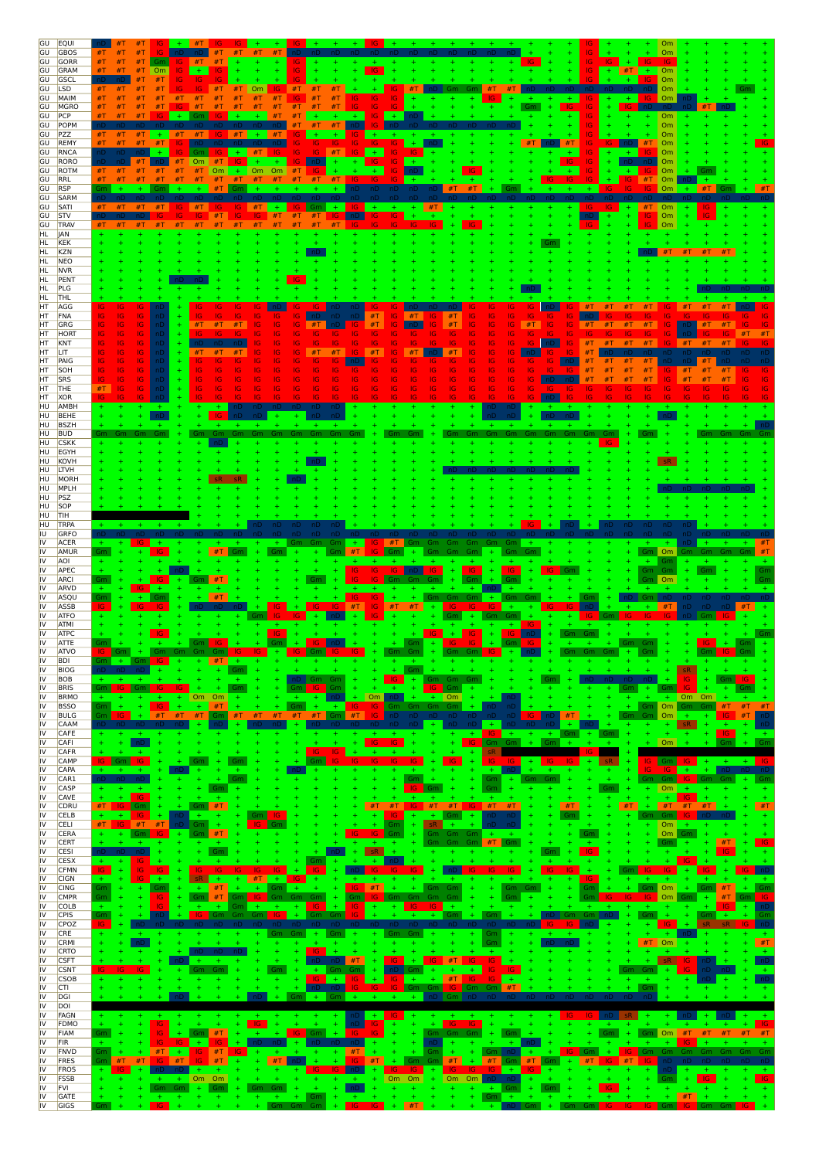| GU                                     | <b>EQUI</b>                | #T<br>- 10 F                                                                                                                                                                       |          |
|----------------------------------------|----------------------------|------------------------------------------------------------------------------------------------------------------------------------------------------------------------------------|----------|
| GU<br>GU                               | <b>GBOS</b><br>GORR        | #T<br>#T<br>#T<br>#1<br>#T<br>#T<br>#T<br>#T<br>#T<br>ТG                                                                                                                           |          |
| GU                                     | GRAM                       | #T<br>IG.<br>#T<br>Om.<br>#T<br>Om<br>#1                                                                                                                                           |          |
| GU                                     | GSCL                       | Om                                                                                                                                                                                 |          |
| GU<br>GU                               | <b>LSD</b><br>MAIM         | #T<br>#T<br>#T<br>#T<br>#T<br>#T<br>#T<br>Om<br>Om<br>#T<br>#T<br>#T<br>IG.<br>IG<br>#T<br>#T<br>#T<br>IG.<br>#T<br>#T<br>#T<br>#T<br>#T<br>#T<br>#1<br>#T<br>IG<br>IG<br>IG<br>Om |          |
| GU                                     | MGRO                       | #T<br>#T<br>#T<br>#T<br>1G<br>#T<br>#T<br>#T<br>#T<br>IG                                                                                                                           |          |
| GU                                     | PCP                        | #T<br>#T<br>#T<br>#T<br>$+$<br>#T<br>IG<br>$+$<br>Om                                                                                                                               |          |
| GU<br>GU                               | POPM<br>PZZ                | Om<br>#T<br>#T<br>Om<br>#T<br>#T<br>$+$<br>#T<br>$+$<br>- #T<br>#T<br>IG.                                                                                                          |          |
| GU                                     | REMY                       | #T<br>#T<br>#T<br>IG.<br>IG.<br>IG<br>IG<br>IG<br>#T<br>Om<br>ΙG                                                                                                                   |          |
| GU<br>GU                               | <b>RNCA</b><br>RORO        | #T<br>٦D.<br>IG.<br>Om<br>#T<br>IG<br>-16<br>#T<br>IG.<br>#T<br>Om                                                                                                                 |          |
| GU                                     | ROTM                       | Om<br>#T<br>#T<br><b>Om</b><br><b>Om</b><br>O <sub>m</sub><br>#T<br>Om<br>#T<br>#T<br>#T<br>#T                                                                                     |          |
| GU                                     | RRL                        | #T<br>#T<br>#T<br>#T<br>#T<br>#1<br>#T<br>Om<br>#T                                                                                                                                 |          |
| GU<br>GU                               | <b>RSP</b><br>SARM         | Бm<br>#T<br>#T<br>0 <sub>m</sub>                                                                                                                                                   |          |
| GU                                     | SATI                       | $+$ #T<br>#T<br>$+$<br>$#T$ Om<br>#T<br>#T<br>#T<br>#T<br>#T<br>IG.<br>$+$<br>$+$<br>$+$<br>IG.<br>ا کا<br>-16                                                                     |          |
| GU                                     | STV                        | Om<br>#T<br>IG.<br>IG<br>#T<br>#T<br>IG.<br>IG<br>#T<br>IG.<br>IG                                                                                                                  |          |
| GU<br>HL                               | <b>TRAV</b><br>JAN         | #T<br>#T<br>#T<br>#T<br>#T<br>Om<br>#T<br>#T<br>#T<br>#T<br>#T                                                                                                                     |          |
| HL                                     | KEK                        |                                                                                                                                                                                    |          |
| <b>HL</b>                              | <b>KZN</b><br><b>NEO</b>   | #1<br>#T                                                                                                                                                                           |          |
| HL<br>HL.                              | <b>NVR</b>                 |                                                                                                                                                                                    |          |
| HL                                     | PENT                       |                                                                                                                                                                                    |          |
| HL<br>HL                               | PLG<br><b>THL</b>          |                                                                                                                                                                                    |          |
| HT                                     | AGG                        | IG                                                                                                                                                                                 |          |
| HT                                     | FNA                        | IG.<br>#T<br>IG<br>IG<br>IG<br>IG<br>ю<br>#I                                                                                                                                       |          |
| HT<br>HT                               | GRG<br>HORT                | #T<br>#T<br>#T<br>IG<br>IG<br>#T<br>#T<br>1G<br>#T<br>IG.<br>#T<br>#T<br>IG<br>IG<br>#T<br>#T<br>IG<br>IG<br>IG.<br>IG.<br>IG<br>IG                                                | IG<br>#T |
| HT                                     | KNT                        | #T<br>IG.<br>#T<br>#T<br>IG<br>IG<br>IG.<br>#T<br>#T<br>#1<br>#T                                                                                                                   |          |
| HT<br>HT                               | LIT<br>PAIG                | #T<br>#T<br>IG<br>#T                                                                                                                                                               |          |
| HT                                     | SOH                        | IG<br>IG<br>G<br>#T<br>G<br># 1                                                                                                                                                    |          |
| HT                                     | <b>SRS</b>                 | IG<br>IG<br>IG<br>IG<br>IG<br>IG<br>IG<br>IG<br>IG<br>IG<br>IG<br>IG<br>IG<br>IG<br>#1<br>#T<br>#T<br>#T                                                                           |          |
| HT<br>HT                               | THE<br><b>XOR</b>          | IG<br>#T<br>IG<br>1G.<br>IG<br>IG<br>IG<br>IG<br>IG<br>IG<br>IG<br>ıс<br>ю                                                                                                         |          |
| HU                                     | AMBH                       |                                                                                                                                                                                    |          |
| HU<br>HU                               | <b>BEHE</b><br><b>BSZH</b> |                                                                                                                                                                                    |          |
| HU                                     | <b>BUD</b>                 | Gm                                                                                                                                                                                 |          |
| HU                                     | <b>CSKK</b>                |                                                                                                                                                                                    |          |
| HU<br>HU                               | EGYH<br>KOVH               |                                                                                                                                                                                    |          |
| HU                                     | <b>LTVH</b>                |                                                                                                                                                                                    |          |
| HU                                     | MORH                       |                                                                                                                                                                                    |          |
| HU<br>HU                               | MPLH<br>PSZ                |                                                                                                                                                                                    |          |
| HU                                     | SOP                        |                                                                                                                                                                                    |          |
| HU<br>HU                               | TIH<br>TRPA                |                                                                                                                                                                                    |          |
| IU                                     | GRFO                       |                                                                                                                                                                                    |          |
| IV                                     | <b>ACER</b>                | #T<br>$+$<br>Gm<br>Gm<br>Gm<br>TG.<br>5m.<br>Gm                                                                                                                                    |          |
| IV<br>IV                               | AMUR<br><b>AOI</b>         | #T                                                                                                                                                                                 |          |
| IV                                     | APEC                       | IG                                                                                                                                                                                 |          |
| IV<br>IV                               | <b>ARCI</b>                | #T<br>Gm<br>Om                                                                                                                                                                     |          |
|                                        |                            |                                                                                                                                                                                    |          |
| IV                                     | ARVD<br>ASQU               | #T<br>Gm                                                                                                                                                                           |          |
| IV                                     | ASSB                       | #T<br>#T<br>#T<br>IG.<br>IG<br>#1                                                                                                                                                  |          |
| IV                                     | <b>ATFO</b>                |                                                                                                                                                                                    |          |
| IV<br>IV                               | <b>ATMI</b><br><b>ATPC</b> | IG.                                                                                                                                                                                |          |
| IV                                     | <b>ATTE</b>                | Gm.<br>$+$<br>Gm<br>÷.                                                                                                                                                             |          |
| IV<br>IV                               | <b>ATVO</b><br><b>BDI</b>  | Gm<br>$+$<br>IG.<br>Gm.<br>$+$<br>$ G  +$<br>$+$<br>$\sqrt{Gm}$<br>IG.                                                                                                             |          |
| IV                                     | <b>BIOG</b>                |                                                                                                                                                                                    |          |
| IV<br>IV                               | <b>BOB</b>                 | Gm Gm<br>nD.<br>16<br>IG.<br>Gm<br>Gm.<br>Gm<br>IG.                                                                                                                                |          |
| IV                                     | <b>BRIS</b><br><b>BRMO</b> | Om<br>Om<br>Om<br>Om<br>Om Om<br>$\ddot{}$<br>÷.<br>$+$                                                                                                                            |          |
| IV                                     | <b>BSSO</b>                | #T<br>Om<br>#T<br>$\pm$<br>IG.<br>#T<br>÷.<br>Gm.<br>IG.<br>Gm.<br>Gm<br>Gm<br>$+$ $-$<br>Gm.<br>Gm<br>Gm<br><b>IG</b><br>-IG-<br>#T<br>#T<br>#T<br>#T<br>#T<br>-IG.<br>#1<br>$+$  | #T       |
| IV<br>IV                               | <b>BULG</b><br>CAAM        | #T<br>$#T$ Gm<br>#T<br>Om<br>#T<br>٦D.                                                                                                                                             |          |
| IV                                     | CAFE                       |                                                                                                                                                                                    |          |
| IV<br>IV                               | <b>CAFI</b><br><b>CAFR</b> | Om<br>IG.<br>IG<br>Gm<br>Gm<br>IG<br>IG<br>sR                                                                                                                                      |          |
| IV                                     | CAMP                       | IG<br>IG.<br>-IG.<br>  Gm                                                                                                                                                          |          |
| IV                                     | <b>CAPA</b>                |                                                                                                                                                                                    |          |
| IV<br>IV                               | CAR1<br><b>CASP</b>        | Gm<br>$+$<br>Gm.<br>Om<br>÷<br>$\ddot{}$<br>$\ddot{}$<br>Gm<br>Gm                                                                                                                  |          |
| IV                                     | CAVE                       | IG.<br>1G.                                                                                                                                                                         |          |
| IV<br>IV                               | CDRU<br><b>CELB</b>        | #T<br>#T<br>#T<br>#T<br>$#T$ #T<br>#T<br>#T<br>-IG.<br>#T<br>#T<br>#T<br>#T<br>IG<br>IG.                                                                                           |          |
| IV                                     | CELI                       | #T<br>#T<br>Om<br>#T<br>Gm<br>Gm<br>ςR.                                                                                                                                            |          |
| IV                                     | <b>CERA</b>                | #T<br>Om<br>Gm<br>Gm<br>Gm<br>Gm<br>GШ<br>Ŧ.<br>$\ddot{\phantom{1}}$<br>$+$<br>Gm<br>#T<br>Gm<br>Gm                                                                                | -IG      |
| IV<br>IV                               | <b>CERT</b><br><b>CESI</b> | #T<br>IG<br>-IG                                                                                                                                                                    |          |
| IV                                     | <b>CESX</b>                | IG.                                                                                                                                                                                |          |
| IV<br>IV                               | CFMN<br><b>CIGN</b>        | IG.<br>IG<br>$+$<br><b>IG</b><br>#T<br>$+$<br>÷.<br>$+$<br>$+$                                                                                                                     |          |
| IV                                     | <b>CING</b>                | #T<br>$\ddot{}$<br>Gm<br>Gm<br>$+$<br>#T<br>Om<br>#T<br>÷.<br>Gm<br>Gm                                                                                                             | Gm       |
| IV                                     | <b>CMPR</b>                | #T<br>$+$<br><b>IG</b><br>Gm<br>Gm<br>Gm<br>Gm<br>Gm<br>Om<br>#T                                                                                                                   | -IG-     |
| IV<br>IV                               | <b>COLB</b><br><b>CPIS</b> | IG.<br><u>Sm</u>                                                                                                                                                                   |          |
| IV                                     | CPOZ                       |                                                                                                                                                                                    |          |
|                                        | CRE                        | Gm<br>Gm                                                                                                                                                                           | #T       |
|                                        | CRMI<br><b>CRTO</b>        | $#T$ Om                                                                                                                                                                            |          |
|                                        | <b>CSFT</b>                | #T                                                                                                                                                                                 |          |
|                                        | <b>CSNT</b><br><b>CSOB</b> | Gm.<br>IG.<br>Gm.<br>Gm<br>1G<br>$+$<br>-IG.<br>IG.<br>#T                                                                                                                          |          |
| IV<br>IV<br>IV<br>IV<br>IV<br>IV<br>IV | <b>CTI</b>                 | Gm                                                                                                                                                                                 |          |
| IV                                     | DGI                        | Gm<br>$+$                                                                                                                                                                          |          |
| IV<br>IV                               | DOI<br><b>FAGN</b>         |                                                                                                                                                                                    |          |
| IV                                     | FDMO                       | $+$<br>-IG.<br>IG.<br>IG.<br>-IG                                                                                                                                                   | IG.      |
| IV<br>IV                               | <b>FIAM</b><br><b>FIR</b>  | IG.<br>#T<br>Om<br>Gm<br>$+$<br>Gm<br>-IG.<br>Gm<br>#T<br>#T<br>#T<br>-IG.<br>-IG-<br>$+$<br>IG.<br>IG.<br>÷<br>$+$                                                                | #T       |
| IV                                     | FNVD                       | Gm<br>#T<br>#T<br> G <br>#T<br>$+$<br>$\pm$<br>IG                                                                                                                                  | Gm       |
| IV                                     | <b>FRES</b>                | #T<br>#T<br>#T<br><b>IG</b><br>#T<br>#T<br>#T<br>Gm<br>#1<br>#T<br>#1<br>#1<br>Gm<br>Gm<br>$+$<br>$+$<br>-IG.<br>$+$<br>ю                                                          |          |
| IV<br>IV                               | FROS<br><b>FSSB</b>        | $+$<br>$\pm$<br>$+$ Om Om<br>Om Om<br>Om Om<br>$+$<br>$+$<br>$+$<br>nD.                                                                                                            |          |
| IV<br>IV                               | <b>FVI</b><br>GATE         | nD<br>$+$<br>ł۴<br>£y<br>$Gm$ $Gm$ $+$<br>$+$<br>$+$<br>Gm<br>Gm<br>$+$<br>÷<br>#T<br>Gm<br>Gm                                                                                     |          |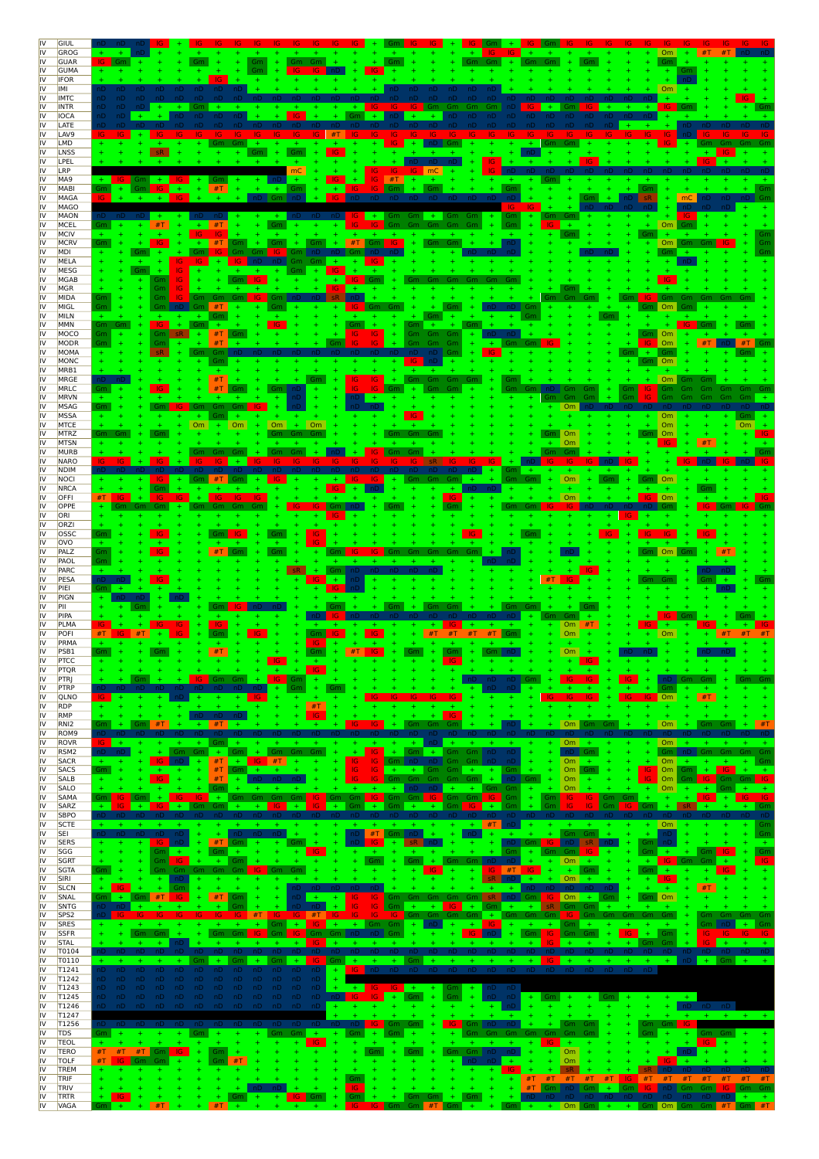|          | GIUL                            |                                                                                                                                                                                                                                                                           |                |
|----------|---------------------------------|---------------------------------------------------------------------------------------------------------------------------------------------------------------------------------------------------------------------------------------------------------------------------|----------------|
| IV       | GROG<br><b>GUAR</b>             | Gm.<br>Gm<br>- Gm<br>IG                                                                                                                                                                                                                                                   |                |
| IV       | <b>GUMA</b><br><b>IFOR</b>      |                                                                                                                                                                                                                                                                           |                |
|          | IMI                             | Om                                                                                                                                                                                                                                                                        |                |
| IV       | <b>IMTC</b><br><b>INTR</b>      | $+$                                                                                                                                                                                                                                                                       |                |
| ١V<br>IV | <b>IOCA</b><br>LATE             | nD                                                                                                                                                                                                                                                                        |                |
|          | LAV9                            |                                                                                                                                                                                                                                                                           |                |
|          | LMD<br>LNSS                     | IG.<br>$+$<br>$+$<br>sR.<br>Gm<br>Gm<br>IG.                                                                                                                                                                                                                               |                |
|          | LPEL                            |                                                                                                                                                                                                                                                                           |                |
|          | LRP<br>MA9                      | mC<br>IG.<br>IG.<br>#T<br>$+$<br>$+$<br>IG.<br>Gm<br>÷                                                                                                                                                                                                                    |                |
| IV<br>ιv | <b>MABI</b><br>MAGA             | #T<br>Gm<br>IG.<br>Gm<br>-IG.<br>$+$<br>$\ddot{}$<br>$\pm$<br>$+$<br>-IG.<br>Gm<br>$+$<br>$+$<br>nD.<br>mC<br>IG.                                                                                                                                                         |                |
| IV       | MAGO                            |                                                                                                                                                                                                                                                                           |                |
| IV<br>IV | MAON<br>MCEL                    | IG.<br>#T<br>IG.<br>Om<br>#T<br>IG.<br>- Gm<br>Gm<br>Gm                                                                                                                                                                                                                   |                |
| IV       | MCIV                            |                                                                                                                                                                                                                                                                           |                |
| IV<br>IV | <b>MCRV</b><br>MDI              | IG.<br>$#T$ Gm<br>IG.<br>Gm<br>#T<br>Gm<br>Gm                                                                                                                                                                                                                             |                |
| IV<br>IV | MELA                            | IG.<br>÷.<br>1G                                                                                                                                                                                                                                                           |                |
| IV       | MESG<br><b>MGAB</b>             | -IG<br>Gm<br>-IG.                                                                                                                                                                                                                                                         |                |
| ιv<br>IV | <b>MGR</b><br>MIDA              | Gm<br>1G<br>Gm<br>Gm<br>Gm                                                                                                                                                                                                                                                |                |
| IV       | MIGL                            |                                                                                                                                                                                                                                                                           |                |
| IV       | MILN<br>MMN                     | Gm                                                                                                                                                                                                                                                                        |                |
| IV       | MOCO                            | IG.<br>Эm<br>IG.<br>IG.                                                                                                                                                                                                                                                   |                |
| IV<br>IV | MODR<br>MOMA                    | Gm<br>IG.<br>#T<br>Om                                                                                                                                                                                                                                                     |                |
| IV<br>IV | MONC<br>MRB1                    | Om                                                                                                                                                                                                                                                                        |                |
| IV       | <b>MRGE</b>                     | #T<br>Gm<br>IG.<br>IG.                                                                                                                                                                                                                                                    |                |
| IV<br>IV | MRLC<br><b>MRVN</b>             | $+$<br>IG.                                                                                                                                                                                                                                                                |                |
| IV       | <b>MSAG</b>                     | Om<br>Gm<br>Gm                                                                                                                                                                                                                                                            |                |
| IV<br>IV | <b>MSSA</b><br><b>MTCE</b>      | $+$<br>Om<br><b>Om</b><br>Om<br><b>Om</b><br>Om<br>Om                                                                                                                                                                                                                     |                |
| IV<br>IV | MTRZ                            | Om<br>Om<br>Gm<br>Om<br>#T                                                                                                                                                                                                                                                |                |
| IV       | <b>MTSN</b><br><b>MURB</b>      | ю                                                                                                                                                                                                                                                                         |                |
| IV<br>ιv | <b>NARO</b><br><b>NDIM</b>      |                                                                                                                                                                                                                                                                           |                |
| IV       | NOCI                            | <b>Om</b><br>0 <sub>m</sub><br>÷.<br>Gm                                                                                                                                                                                                                                   |                |
| IV<br>IV | <b>NRCA</b><br>OFFI             | Om<br>Om                                                                                                                                                                                                                                                                  |                |
|          | OPPE                            |                                                                                                                                                                                                                                                                           |                |
|          | ORI<br>ORZI                     |                                                                                                                                                                                                                                                                           |                |
|          | OSSC<br>ovo                     | IG.                                                                                                                                                                                                                                                                       |                |
| N        | PALZ                            | Gm<br><b>IG</b><br>#T<br>-IG<br>Om                                                                                                                                                                                                                                        |                |
| ιv<br>IV | PAOL<br>PARC                    | Gm<br>Gm                                                                                                                                                                                                                                                                  |                |
|          | PESA                            |                                                                                                                                                                                                                                                                           |                |
|          | PIEI<br>PIGN                    |                                                                                                                                                                                                                                                                           |                |
|          | PII<br>PIPA                     |                                                                                                                                                                                                                                                                           |                |
|          | PLMA                            | #T<br>O <sub>m</sub>                                                                                                                                                                                                                                                      |                |
|          | POFI<br>PRMA                    | Gm<br>Om<br>-IG<br>IG.<br>#T<br>#T<br>Om<br>#T<br>#T<br>#T                                                                                                                                                                                                                | #T             |
|          | PSB1                            |                                                                                                                                                                                                                                                                           |                |
| IV<br>IV | <b>PTCC</b><br>PTQR             | IG<br>$\pm$                                                                                                                                                                                                                                                               |                |
| IV<br>IV | <b>PTRJ</b><br>PTRP             | IG.<br>Gm Gm<br>$+$<br>-IG.<br>IG.<br>l Gm<br>$+$<br>IG.<br>IG.<br>nD<br>Gm<br>nD.<br>nD.<br>.Gm<br>$+$<br>Gm<br>Gm                                                                                                                                                       | – Gm           |
| IV       | QLNO                            | $\blacksquare$ Om<br>#T<br>$\pm$<br>IG.<br>-IG<br>IG.<br>$+ +$                                                                                                                                                                                                            |                |
| IV<br>IV | <b>RDP</b><br>RMP               | #T<br><b>IG</b><br>$\ddot{}$<br>IG.                                                                                                                                                                                                                                       |                |
| IV       | RNI <sub>2</sub>                | Om<br>Om<br>#T<br>IG.<br>Gm<br>#T<br>IG.<br>Gm<br>Gm<br>Gm<br>Gm<br>Gm                                                                                                                                                                                                    |                |
| IV<br>IV | ROM <sub>9</sub><br><b>ROVR</b> | IG.<br>$Om +$<br>$+$<br>Om i<br>$+$<br>Gm                                                                                                                                                                                                                                 |                |
| IV<br>IV | RSM <sub>2</sub><br><b>SACR</b> | Gm<br>Gm<br>÷<br>Gm<br>IG.<br>Gm<br>$+$<br>Gm.<br>nD.<br>Gm.<br>$+$<br>#T<br>nD<br>-IG-<br>$+$<br>$+$<br>IG.<br>IG.<br>Gm<br>nD<br>Om<br>Om<br>٠.<br>÷<br>÷                                                                                                               | Gm Gm<br>Gm    |
| IV       | <b>SACS</b>                     | #T<br>IG.<br>Om<br>IG.<br>$+$<br>IG.<br>Om Gm<br>÷<br>$+$<br>$+$<br>-Gm<br>Gm.<br>Gm.<br>Gm<br>Gm<br>$+$<br>Gm                                                                                                                                                            |                |
| IV<br>IV | <b>SALB</b><br><b>SALO</b>      | #T<br>IG.<br>O <sub>m</sub><br>$\blacksquare$ Om<br>-IG.<br>÷<br>Gm<br>Gm<br>-Gm<br>÷.<br>nD Gm  <br>IG.<br>-IG.<br>-Gm<br>Gm<br>Om<br>Om<br>nD.<br>Gm Gm<br>Gm                                                                                                           | $Gm$ $ $ $ G $ |
| IV<br>IV | SAMA<br>SARZ                    | Gm<br>IG<br>-IG.<br>IG.<br>IG Gm<br>Gm Gm<br>IG<br>Gm<br>IG.<br>$+$<br>  Gm<br>Gm.<br>Gm.<br>IG.<br>- Gm<br>Gm.<br>- 161<br>-IG-<br>IG.<br><b>IG</b><br>IG.<br>Gm<br>$\pm$<br>$+$<br>$+$<br>Gm<br>$+$<br>Gm<br>$+$<br>$+$<br>$+$<br>$+$                                   |                |
| IV       | <b>SBPO</b>                     |                                                                                                                                                                                                                                                                           |                |
| IV<br>IV | <b>SCTE</b><br>SEI              | $+$ #T<br>Om<br>$+$<br>$+$<br>$+$<br>$+ +$<br>#T<br>Gm nD<br>Gm Gm<br>÷.<br>nD<br>$\pm$<br>$\overline{\phantom{0}}$ nD<br>$+$<br>nD.<br>nD                                                                                                                                | Gm             |
| IV       | <b>SERS</b>                     | #T<br>nD<br>IG.<br>nD 1<br>Gm<br>nD.<br>$\pm$<br>-IG.<br>$Gm$ $nD$<br>sR.<br>$+$<br>nD.<br>sR.<br>$+$<br>-IG -<br>÷<br>Gm<br>Gm<br>$+$<br>$+$ $-$                                                                                                                         |                |
| IV<br>IV | SGG<br><b>SGRT</b>              | Gm<br>÷.<br>Gm<br>-IG -<br>÷<br>Gm<br>$+$<br>Gm.<br>$+$<br>-IG.<br>$-+$<br>$+$<br>÷<br>$+$<br>$+$<br>$Gm +$<br>Om<br>÷.<br>Gm<br>-IG-<br>$+$ .<br>$+$<br><b>IG</b> Gm Gm<br>÷<br>$+$<br>Gm<br>Gm Gm n<br>$+$<br>$+$<br>Gm<br>$+$                                          |                |
| IV<br>IV | <b>SGTA</b><br>SIRI             | Gm<br>Gm Gm<br>-IG<br>÷<br>-IG.<br>$IG$ #T IG<br>Gm I<br>$+$<br>$Gm +$<br>$+$<br>-IG-<br>nD.<br>Om<br>nD.<br>$+$<br>$IG$                                                                                                                                                  |                |
| IV       | <b>SLCN</b>                     | #T<br>nD                                                                                                                                                                                                                                                                  |                |
| IV<br>IV | SNAL<br>SNTG                    | #T<br>Gm Om<br>#T<br>nD<br>Gm<br>$\vert$ Om +<br>Gm<br>IG.<br>IG.<br>D   Gm  <br>Gm.<br>-IG-<br>IG.<br>IG.<br>Gm<br>sR.<br>$+$<br>$+$<br><b>IG</b><br>$+$<br>$+$<br>$+$<br>Gm Gm<br>$+$<br>Gm                                                                             |                |
| IV       | SPS <sub>2</sub>                | IG.<br><b>IG</b><br>#T<br>-IG -<br>-IG -<br>$#T$ IG<br>-IG-<br>Gm Gm Gm Gm +<br>Gm Gm Gm<br>Gm Gm Gm Gm Gm<br>Gm<br>- 16<br>- IG -                                                                                                                                        | - Gm           |
| IV<br>IV | <b>SRES</b><br><b>SSFR</b>      | $\text{Gm}$ + $\text{IG}$ +<br>$+$ Gm Gm $+$<br>$+$<br>$+$<br>$nD$ $+$<br>$+1$<br>$Gm +$<br>Gm.<br>Gm Gm<br>$+$ 16<br>$\sqrt{Gm}$<br>Gm<br>$nD   Gm   + +$<br>nD<br>IG Gm Gm<br>$+$<br>Gm<br>Gm<br>- Gm<br>- Gm<br>-IG.<br>٠.<br>l Gm I<br>$+$<br>$+$<br>$+$<br>-IG-      | Gm             |
| IV<br>IV | <b>STAL</b><br>T0104            | nD.<br>Gm Gm<br>÷.<br>-IG-<br>$-4$<br>$-+$<br>$+$<br>$+$<br>$+$<br>$+$<br>IG.<br>$+$<br>IG.<br>$+$<br>$+$<br>$+$                                                                                                                                                          |                |
| IV       | T0110                           | $nD + Gm + +$<br>$+$ $-$<br>$+$<br>$+$<br>$+$<br>$+$<br>$+$<br>$+$<br>Gm<br>$+$<br>Gm<br>- 16 -<br>$+$<br>$+$<br>$+$<br><b>Harry Construction</b>                                                                                                                         |                |
| IV<br>IV | T1241<br>T1242                  | nD nD nD nD nD nD nD nD<br>nD.<br>nD.<br>$+$<br><b>IG</b><br>nD.<br>nD nD nD<br>nD nD<br>nD.<br>nD.<br>nD.<br>nD.<br>nD.<br>nD.<br>nD.<br>nD.<br>nD.<br>nD.<br>nD.<br>nD<br>nD<br>nD.<br>nD.<br>nD.<br>nD.<br>nD.                                                         |                |
| IV<br>IV | T1243                           | $IG$ $IG$ $+$<br>٦D<br>nD nD<br>nD<br>nD.<br>nD.<br>nD.<br>$+ -$<br>Gm.<br>$+$<br>$+$<br>$IG + Gm$<br>$+$ Gm $+$<br>٦D.<br>$+$<br>nD.<br>nD.<br>nD.<br>nD.<br>$+$<br>$+$                                                                                                  |                |
| IV       | T1245<br>T1246                  | $nD = nD$<br>$+$ Gm<br>- IG -<br>$+$<br>Gm<br>$+$ .<br>nD.<br>nD.<br>-nD<br>nD.<br>nD.<br>nD.<br>nD.<br>$+$<br>-nD  <br>$+ - +$<br>nD<br>$+$<br>nD.<br>nD.<br>nD.<br>nD.<br>nD.<br>nD.<br>nD.<br>nD.<br>nD.<br>nD.<br>-nD<br>$+$<br>$+$<br>$+$<br>$+$<br>nD<br>$+$<br>$+$ |                |
| IV<br>IV | T1247<br>T1256                  | IG.<br>-IG-<br>Gm Gm<br>Gm Gm IG<br>Gm.<br>Gm  <br>$+$<br>$\blacksquare$ Gm $\blacksquare$<br>-nD<br>nD,<br>$+$                                                                                                                                                           |                |
| IV       | <b>TDS</b>                      | Gm<br>Gm Gm<br>Gm<br>$+$<br>Gm<br>Gm Gm Gm Gm Gm<br>Gm<br>$+$<br>Gm<br>$+$<br>Gm  <br>$+$<br>$+$<br>$+$<br>$+$<br>$+$<br>$+$<br>$+$<br>$+$<br>$\ddot{}$<br>$+$<br>Gm<br>÷.<br>$+$ Gm<br>$+$<br>Gm                                                                         |                |
| IV<br>IV | <b>TEOL</b><br><b>TERO</b>      | IG.<br>$+$<br>$+$<br>$+$<br>IG.<br>$+$<br>IG.<br>$#T$ #T Gm<br>$\Delta \omega$<br>#T<br>$\Box$ Om<br>$+$<br>-IG.<br>Gm<br>Gm<br>Gm<br>$Gm \mid nD$<br>$+$                                                                                                                 |                |
| IV<br>IV | <b>TOLF</b><br>TREM             | #T<br>#T<br>-IG.<br>Om<br> G <br>Gm<br>Gm<br>nD.<br>$+$<br>sR.                                                                                                                                                                                                            |                |
| IV       | TRIF                            | Gm<br>#T<br>#T<br>#T<br>$#T$ #T<br>l in I<br>#T<br>#T<br>#T<br>÷<br>÷<br>÷.<br>$+$<br>$+$<br>#T<br>#T                                                                                                                                                                     |                |
| IV<br>IV | <b>TRIV</b><br>TRTR             | #T<br>IG.<br>Gm nD Gm<br>$+$<br>IG.<br>IG.<br>$\ddot{}$<br>$\ddot{}$<br>$\ddot{}$<br>$+$<br>$+$<br>$+$<br>nD Gm Gm<br>-Gm<br>$+$<br>$Gm +$<br>nD nD nD nD<br>nD nD nD nD nL<br>IG.<br>Gm<br>$+$<br>$+$<br>$+$<br>-IG.<br>  Gm<br>Gm<br>$+$<br>Gm                          | ∣Gm Gm         |
| IV       | <b>VAGA</b>                     | $\begin{bmatrix} \text{Gm} \\ + \\ + \\ \text{Om} \end{bmatrix}$<br>#T<br>#T<br>IG Gm Gm<br>$\#T$ Gm + +<br>$Gm + +$ Gm $Om$ Gm $Gm$ $\#T$ Gm $\#T$<br>$+$<br>IG.                                                                                                         |                |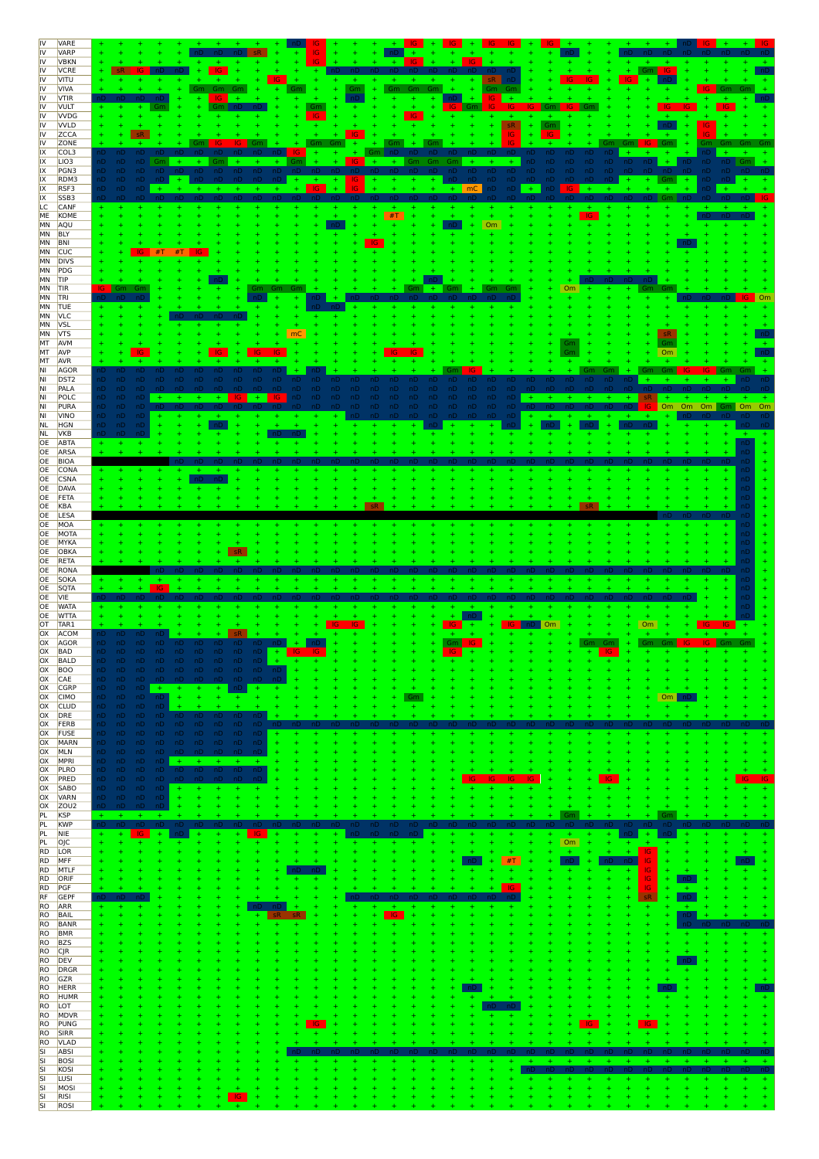| IV<br>IV                   | VARE<br><b>VARP</b>            |                                     |                          | $+$                              |                                              |           |      |                 |           |                  |                  |                                |                        |                                   | $+$            |                |           |
|----------------------------|--------------------------------|-------------------------------------|--------------------------|----------------------------------|----------------------------------------------|-----------|------|-----------------|-----------|------------------|------------------|--------------------------------|------------------------|-----------------------------------|----------------|----------------|-----------|
| IV<br>IV                   | <b>VBKN</b><br><b>VCRE</b>     |                                     |                          |                                  |                                              |           |      |                 | IG        | IG.              | -nD              |                                |                        |                                   | Gm G           |                |           |
| IV                         | VITU                           |                                     |                          |                                  |                                              |           |      |                 |           |                  |                  |                                |                        | IG.                               |                |                |           |
| IV<br>IV                   | <b>VIVA</b><br><b>VTIR</b>     |                                     |                          | Gm<br>-Gm                        | Gm                                           |           | Gm   | Gm              | Gm<br>Gm  | ÷.               | Gm Gm<br>IG.     |                                |                        |                                   |                |                |           |
| IV<br>IV                   | <b>VULT</b><br><b>VVDG</b>     |                                     |                          |                                  |                                              | <u>Gm</u> |      |                 | IG.       | Gm               | IG.              | Gm <sub>L</sub><br>-IG.<br>-IG |                        |                                   | IG.            |                |           |
| IV<br>IV                   | <b>VVLD</b><br><b>ZCCA</b>     |                                     |                          |                                  |                                              |           |      |                 |           |                  | sR<br>IG         | Gm                             |                        |                                   |                |                |           |
| IV<br>IX                   | ZONE<br>COL3                   | י טו                                |                          |                                  |                                              | IG.       |      | Gm              |           |                  |                  |                                |                        |                                   |                |                |           |
| IX<br>IX                   | LIO <sub>3</sub>               | ٦D.<br>nD<br>nD.<br>ıD.<br>nD.      | Gm                       | $+$<br>Gm<br>nD.<br>nD.          | nD<br>nD.                                    |           | -IG. | $+$             | Gm<br>Gm. | Gm<br>nD.<br>nD. | $+$<br>nD<br>nD. | nD.<br>nD.<br>nD<br>nD.        | nD<br><b>nD</b><br>nD. |                                   |                | וD Gm          |           |
| IX                         | PGN3<br>RDM3                   | ۱D۰                                 |                          |                                  |                                              |           | IG.  |                 | nD.       | $nD -$<br>nD     | nD<br>nD.        | nD.                            |                        |                                   |                |                |           |
| IX<br>IX                   | RSF3<br>SSB <sub>3</sub>       | ۱D.                                 |                          |                                  |                                              |           |      |                 |           | $+$ mC           | ٦D<br>nD.        | $+$<br>nD                      |                        |                                   |                |                | <b>IG</b> |
| LC.<br><b>ME</b>           | CANF<br>KOME                   |                                     |                          |                                  |                                              |           |      | #T              |           |                  |                  |                                |                        |                                   |                |                |           |
| MN<br>MN                   | AQU<br><b>BLY</b>              |                                     |                          |                                  |                                              |           |      |                 |           |                  | Om               |                                |                        |                                   |                |                |           |
| MN                         | BNI<br>MN CUC                  |                                     |                          |                                  |                                              |           |      |                 |           |                  |                  |                                |                        |                                   |                |                |           |
| MN<br>MN                   | <b>DIVS</b><br>PDG             |                                     |                          |                                  |                                              |           |      |                 |           |                  |                  |                                |                        |                                   |                |                |           |
| MN<br>MN                   | TIP<br><b>TIR</b>              | IG.<br>Gm<br>Gn                     |                          |                                  |                                              |           |      |                 |           |                  | Gm               | Om                             |                        |                                   |                |                |           |
|                            | MN TRI                         |                                     |                          |                                  |                                              |           |      |                 |           |                  |                  |                                |                        |                                   |                |                |           |
| MN<br>MN                   | <b>TUE</b><br><b>VLC</b>       |                                     |                          |                                  |                                              |           |      |                 |           |                  |                  |                                |                        |                                   |                |                |           |
| MN<br>MN                   | <b>VSL</b><br><b>VTS</b>       |                                     |                          |                                  |                                              | mC        |      |                 |           |                  |                  |                                |                        |                                   |                |                |           |
| MT<br>MT                   | AVM<br>AVP                     |                                     |                          |                                  |                                              |           |      |                 |           |                  |                  |                                |                        |                                   | 0 <sub>m</sub> |                |           |
| MT<br>NI.                  | <b>AVR</b><br>AGOR             |                                     |                          |                                  |                                              |           |      |                 |           |                  |                  |                                |                        |                                   |                |                |           |
| NI<br>NI                   | DST <sub>2</sub><br>PALA       | nD.<br>۱D                           |                          | nD.<br>nD.                       |                                              |           |      |                 |           |                  | nD<br>nD         | nD.                            |                        |                                   |                |                |           |
| NI<br>NI                   | POLC<br>PURA                   | ۱D<br>ıD.                           |                          | $+$                              | $+$                                          |           | nD.  | nD<br>1D.       | ٦D        | 1D.              | nD.              |                                |                        |                                   | Om<br>Om       | Gm Om Om<br>Om |           |
| NI.<br><b>NL</b>           | <b>VINO</b><br><b>HGN</b>      |                                     |                          |                                  |                                              |           |      |                 |           |                  |                  |                                |                        |                                   |                |                |           |
| <b>NL</b><br>OE            | <b>VKB</b><br>ABTA             |                                     |                          |                                  |                                              |           |      |                 |           |                  |                  |                                |                        |                                   |                |                |           |
| OE                         | ARSA                           |                                     |                          |                                  |                                              |           |      |                 |           |                  |                  |                                |                        |                                   |                |                |           |
| OE<br>OE                   | BIOA<br>CONA                   |                                     |                          |                                  |                                              |           |      |                 |           |                  |                  |                                |                        |                                   |                |                |           |
| OE<br>OE                   | <b>CSNA</b><br>DAVA            |                                     |                          |                                  |                                              |           |      |                 |           |                  |                  |                                |                        |                                   |                |                |           |
| OE<br>OE                   | FETA<br>KBA                    |                                     |                          |                                  |                                              |           |      |                 |           |                  |                  |                                |                        |                                   |                |                |           |
| OE<br>OE                   | LESA<br>MOA                    |                                     |                          |                                  |                                              |           |      |                 |           |                  |                  |                                |                        |                                   |                |                |           |
| OE<br>OE                   | MOTA<br>MYKA                   |                                     |                          |                                  |                                              |           |      |                 |           |                  |                  |                                |                        |                                   |                |                |           |
| OE<br>OE                   | OBKA<br>RETA                   |                                     |                          |                                  |                                              |           |      |                 |           |                  |                  |                                |                        |                                   |                |                |           |
| OE                         | RONA                           |                                     |                          |                                  |                                              |           |      |                 |           |                  |                  |                                |                        |                                   |                |                |           |
| OE<br>OE                   | SOKA<br>SQTA                   |                                     | IG                       |                                  |                                              |           |      |                 |           |                  |                  |                                |                        |                                   |                |                |           |
| OE<br>OE                   | <b>VIE</b><br><b>WATA</b>      |                                     |                          |                                  |                                              |           |      |                 |           |                  |                  |                                |                        |                                   |                |                |           |
| OE<br>OT                   | <b>WTTA</b><br>TAR1            |                                     |                          |                                  |                                              |           |      |                 |           |                  |                  | <b>Om</b>                      |                        | <b>Om</b>                         |                |                |           |
| OX<br>OX                   | ACOM<br>AGOR                   |                                     |                          |                                  |                                              |           |      |                 |           | Gm<br>-IG        |                  |                                | Gm                     | Gm                                | IG.<br>Gm      | IG.            |           |
| OX<br>OX                   | <b>BAD</b><br><b>BALD</b>      | ٦D٠                                 | nD nD nD nD              | nD.<br>nD                        | nD.<br>nD.<br>÷                              |           |      |                 |           |                  |                  |                                |                        |                                   |                |                |           |
| OX<br>OX                   | <b>BOO</b><br>CAE              | nD -<br>nD nD nD nD nD nD nD nD nD  |                          |                                  | nD nD nD nD nD nD nD nD nD<br>n <sub>D</sub> |           |      |                 |           |                  |                  |                                |                        |                                   |                |                |           |
| OX<br>OX                   | <b>CGRP</b><br><b>CIMO</b>     | nD.<br>$nD$ $nD$ $+$<br>nD nD nD nD | $+$<br>$\pm$             | $+$<br>$+$<br>$+$<br>$+$         | nD.<br>$+$<br>÷<br>÷                         |           |      |                 | Gm        |                  |                  |                                |                        |                                   | Om             |                |           |
| OX<br>OX                   | CLUD<br>DRE                    | nD nD nD<br>nD nD nD                | - nD<br>а.<br>nD.<br>nD. | nD.<br>nD.                       | ×.<br>nD.<br>nD                              |           |      |                 |           |                  |                  |                                |                        |                                   |                |                |           |
| OX                         | FERB                           | nD nD nD nD                         | nD.                      | nD.<br>nD.                       | nD<br>nD                                     |           |      |                 |           |                  |                  |                                |                        |                                   |                |                |           |
| <b>OX</b><br>OX            | <b>FUSE</b><br><b>MARN</b>     | nD -<br>nD<br>nD<br>nD -            | nD<br>nD.                | nD<br>nD<br>nD nD nD nD nD nD nD | nD<br>nD<br>nD<br>4                          |           |      |                 |           |                  |                  | 4<br>÷<br>÷                    | Ŧ                      |                                   |                |                |           |
| OX<br>OX                   | MLN<br>MPRI                    | nD nD nD nD nD<br>nD -<br>nD        | nD nD<br>$+$             | nD.<br>nD.<br>$+$<br>$+$         | nD<br>nD.<br>÷.<br>$+$                       |           |      |                 |           |                  |                  |                                |                        |                                   |                |                |           |
| OX<br>OX                   | PLRO<br>PRED                   | nD nD nD nD<br>nD.<br>nD nD nD      | nD.                      | $\mathsf{n}\mathsf{D}$<br>nD     | $\mathsf{n}\mathsf{D}$<br>nD                 |           |      |                 |           |                  |                  |                                |                        |                                   |                |                |           |
| <b>OX</b><br>OX            | SABO<br><b>VARN</b>            | nD nD nD nD<br>nD nD nD nD          | $\ddot{}$<br>$\ddot{}$   |                                  |                                              |           |      |                 |           |                  |                  |                                |                        |                                   |                |                |           |
| OX<br>PL                   | ZOU <sub>2</sub><br><b>KSP</b> | nD nD<br>nD.<br>$+$<br>$+$<br>$+$   | $+$                      |                                  |                                              |           |      |                 |           |                  |                  | ÷<br>Gm                        |                        |                                   | Gm             |                |           |
| PL<br>PL                   | <b>KWP</b><br>NIE              | IG.                                 | $+$                      |                                  |                                              |           |      | nD<br>nu        |           |                  |                  | $+$                            |                        | $+$                               | nD             |                |           |
| PL<br><b>RD</b>            | OJC<br>LOR                     | ÷                                   |                          |                                  |                                              |           |      |                 |           |                  |                  | Om<br>$\pm$                    | ÷<br>÷                 | $\ddot{\phantom{1}}$<br>÷.<br>IG. |                |                |           |
| RD<br><b>RD</b>            | MFF<br>MTLF                    |                                     |                          |                                  |                                              |           |      |                 |           |                  | #T<br>÷          | nD<br>÷                        | ÷<br>÷                 | IG.<br>IG.<br>Ŧ                   |                |                |           |
| <b>RD</b><br><b>RD</b>     | ORIF<br>PGF                    |                                     |                          |                                  |                                              |           |      |                 |           |                  | IG.              | 4                              | $\ddot{}$              | IG.<br>÷<br>$\sf IG$<br>÷         | $+$<br>$+$     |                |           |
| RF                         | GEPF                           | nD                                  |                          |                                  |                                              |           |      |                 |           |                  |                  |                                |                        | sR.<br>Ŧ                          | ÷<br>nD.       |                |           |
| RO<br><b>RO</b>            | ARR<br>BAIL                    | ÷<br>$\ddot{}$                      |                          |                                  |                                              |           |      | $+$<br>IG.<br>÷ |           | ÷                | ÷<br>÷<br>÷      |                                |                        | ÷<br>÷<br>$\ddot{}$               | ÷<br>$+$<br>÷  |                |           |
| <b>RO</b><br><b>RO</b>     | BANR<br><b>BMR</b>             |                                     |                          |                                  | ÷                                            |           |      |                 |           |                  |                  |                                |                        |                                   |                |                |           |
| <b>RO</b><br><b>RO</b>     | <b>BZS</b><br><b>CJR</b>       |                                     |                          |                                  |                                              |           |      |                 |           |                  |                  |                                |                        |                                   |                |                |           |
| <b>RO</b><br>RO            | DEV<br>DRGR                    |                                     |                          |                                  |                                              |           |      |                 |           |                  |                  |                                |                        |                                   |                |                |           |
| <b>RO</b>                  | RO GZR<br><b>HERR</b>          |                                     |                          |                                  |                                              |           |      |                 |           | ٦D               |                  |                                |                        |                                   |                |                |           |
| RO<br>RO                   | <b>HUMR</b><br>LOT             |                                     |                          |                                  |                                              |           |      |                 |           | ÷<br>÷           |                  |                                |                        |                                   |                |                |           |
| RO<br><b>RO</b>            | MDVR<br>PUNG                   |                                     |                          |                                  |                                              | IG.       |      |                 |           |                  |                  |                                | IG.                    | IG.                               |                |                |           |
| <b>RO</b>                  | <b>SIRR</b>                    |                                     |                          |                                  |                                              | ÷.        |      |                 |           |                  |                  |                                |                        |                                   |                |                |           |
| <b>RO</b><br>$rac{SI}{SI}$ | <b>VLAD</b><br>ABSI            |                                     |                          |                                  |                                              |           |      |                 |           |                  |                  |                                |                        |                                   |                |                |           |
| SI                         | <b>BOSI</b><br>KOSI            |                                     |                          |                                  |                                              |           |      |                 |           |                  |                  |                                |                        |                                   |                |                |           |
| SI<br><b>SI</b>            | LUSI<br>MOSI                   |                                     |                          |                                  |                                              |           |      |                 |           |                  | 4                | ÷<br>÷<br>÷                    | ÷.<br>÷                | ÷<br>$\pm$                        | ÷<br>÷         |                | ÷,        |
| SI<br><b>SI</b>            | RISI<br>ROSI                   |                                     |                          |                                  | IG.                                          |           |      |                 |           |                  |                  | ÷<br>÷                         | Ŧ                      | ÷                                 |                |                |           |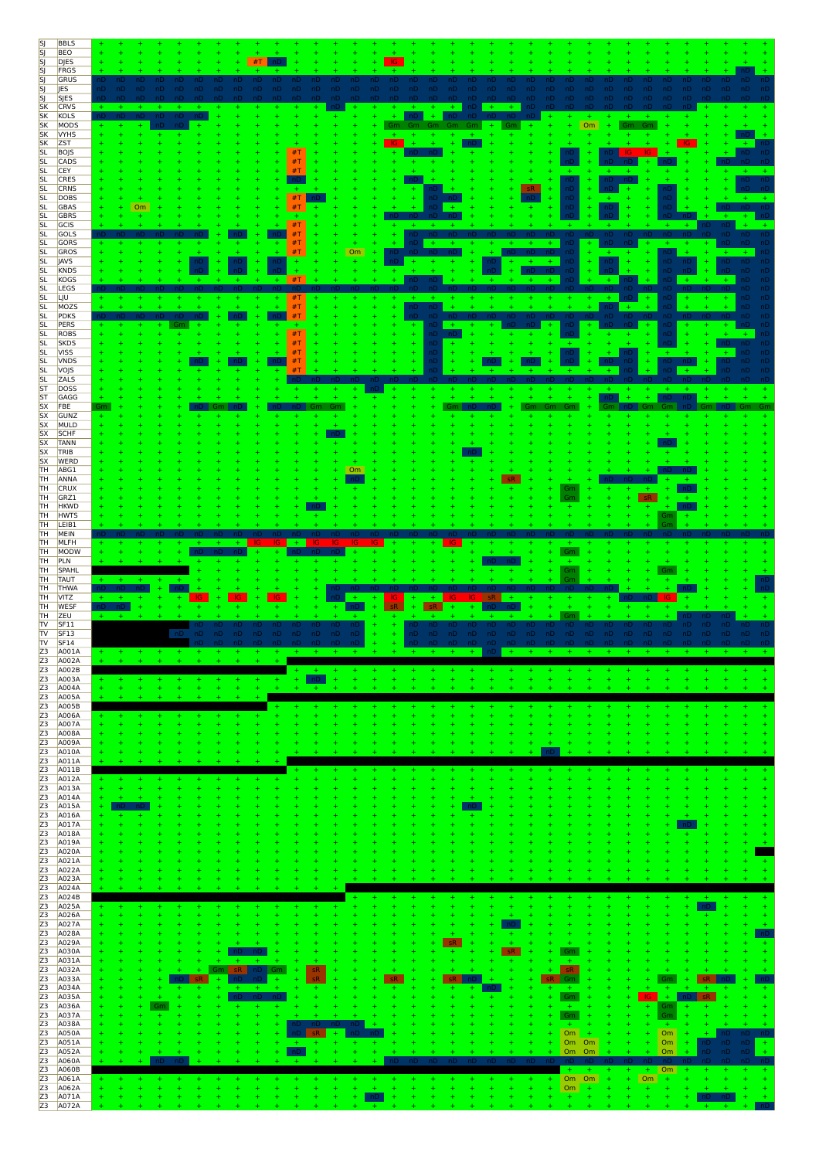| [SJ                                 | <b>BBLS</b>                |           |                  |                |           |                |               |                |          |    |           |                 |                       |            |        |                  |                  |            |                              |               |           |            |  |
|-------------------------------------|----------------------------|-----------|------------------|----------------|-----------|----------------|---------------|----------------|----------|----|-----------|-----------------|-----------------------|------------|--------|------------------|------------------|------------|------------------------------|---------------|-----------|------------|--|
| SJ<br>SJ                            | <b>BEO</b><br><b>DJES</b>  |           |                  |                |           |                |               |                |          |    |           |                 |                       |            |        |                  |                  |            |                              |               |           |            |  |
| SJ                                  | FRGS                       |           |                  |                |           |                |               |                |          |    |           |                 |                       |            |        |                  |                  |            |                              |               |           |            |  |
| SJ<br>SJ                            | GRUS<br>JES                | ۱D        | nD<br>nD.<br>nD. | nD<br>nD<br>nD | nD        | nD<br>nD       | nD.<br>nD.    | nD             | nD<br>nD | nD | nD<br>nD. | nD.<br>nD.      | nD<br>nD              |            |        |                  |                  |            |                              |               |           |            |  |
| SJ.                                 | <b>SJES</b>                |           |                  |                |           |                |               |                |          |    |           |                 |                       |            |        |                  |                  |            |                              |               |           |            |  |
| <b>SK</b>                           | <b>CRVS</b>                |           |                  |                |           |                |               |                |          |    |           |                 |                       | $+$        |        |                  |                  |            |                              |               |           |            |  |
| <b>SK</b><br><b>SK</b>              | KOLS<br>MODS               |           |                  |                |           |                |               |                |          |    | Gm        | nD.<br>÷.       | nD<br>nD.<br>Gm<br>Gm | Gm         |        | $+$              | <b>Om</b><br>$+$ | Gm         |                              |               |           |            |  |
| <b>SK</b>                           | <b>VYHS</b>                |           |                  |                |           |                |               |                |          |    |           |                 |                       |            |        |                  |                  |            |                              |               |           |            |  |
| <b>SK</b><br><b>SL</b>              | <b>ZST</b><br>BOJS         |           |                  |                |           |                |               | #T             |          |    | G         |                 |                       |            |        |                  |                  |            |                              |               |           |            |  |
| <b>SL</b>                           | CADS                       |           |                  |                |           |                |               | #T             |          |    |           |                 |                       |            |        |                  |                  |            |                              |               |           |            |  |
| <b>SL</b>                           | <b>CEY</b>                 |           |                  |                |           |                |               | #T             |          |    |           |                 |                       |            |        |                  |                  |            |                              |               |           |            |  |
| <b>SL</b><br><b>SL</b>              | CRES<br><b>CRNS</b>        |           |                  |                |           |                |               |                |          |    |           |                 |                       |            | sR     | nD<br>nD         |                  |            |                              |               |           |            |  |
| <b>SL</b>                           | DOBS                       |           |                  |                |           |                |               | $\#\mathsf{T}$ |          |    |           |                 |                       |            |        | nD               |                  |            |                              |               |           |            |  |
| <b>SL</b><br><b>SL</b>              | <b>GBAS</b><br><b>GBRS</b> |           | Om               |                |           |                |               | #T             |          |    |           | ۱D              |                       |            |        | nD               |                  |            |                              |               |           |            |  |
| <b>SL</b>                           | GCIS                       |           |                  |                |           |                |               | #T             |          |    |           | $+$<br>$+$      |                       |            |        |                  |                  |            |                              |               |           |            |  |
| <b>SL</b>                           | GOLS                       |           |                  |                |           |                |               | #T             |          |    |           | nD              |                       |            |        |                  |                  |            |                              |               |           |            |  |
| <b>SL</b><br><b>SL</b>              | GORS<br>GROS               |           |                  |                |           |                |               | #T<br>#T       |          | Om |           |                 |                       |            |        | nD,              | ٦D               |            |                              | nD            |           |            |  |
| <b>SL</b>                           | JAVS                       |           |                  |                |           |                |               |                |          |    |           |                 |                       |            |        | ۱D               | nD               |            |                              | ٦D            |           |            |  |
| <b>SL</b>                           | KNDS<br><b>KOGS</b>        |           |                  |                |           |                |               | ÷.<br>#T       |          |    |           |                 |                       |            |        |                  |                  |            |                              | nD            |           |            |  |
| <b>SL</b><br><b>SL</b>              | LEGS                       |           |                  |                |           |                |               |                |          |    |           |                 |                       |            |        |                  |                  |            | nD.                          |               |           |            |  |
| <b>SL</b>                           | LJU                        |           |                  |                |           |                |               | #T             |          |    |           |                 |                       |            |        |                  |                  |            |                              | nD            |           |            |  |
| <b>SL</b><br><b>SL</b>              | MOZS<br>PDKS               |           |                  |                |           |                |               | #T<br>#T       |          |    |           | nD.<br>пD<br>nD |                       | nD.        | nD     | nD               | nD.              | $+$<br>nD, | nD                           |               |           |            |  |
| <b>SL</b>                           | PERS                       |           |                  |                |           |                |               |                |          |    |           |                 |                       |            | $+$    |                  |                  | nD         | nD                           |               |           |            |  |
| <b>SL</b><br><b>SL</b>              | ROBS<br><b>SKDS</b>        |           |                  |                |           |                |               | #T<br>#T       |          |    |           | nD.<br>nD       |                       |            |        |                  |                  |            |                              | nD            |           |            |  |
| <b>SL</b>                           | <b>VISS</b>                |           |                  |                |           |                |               | #T             |          |    |           | ٦D              |                       |            |        |                  |                  | nD         |                              |               |           |            |  |
| <b>SL</b>                           | <b>VNDS</b>                |           |                  |                |           |                |               | #T             |          |    |           | ٦D              |                       |            |        |                  |                  |            | nD                           |               |           |            |  |
| SL<br><b>SL</b>                     | VOJS<br><b>ZALS</b>        |           |                  |                |           |                |               | #1             |          |    |           |                 |                       |            |        |                  |                  |            |                              |               |           |            |  |
| ST                                  | <b>DOSS</b>                |           |                  |                |           |                |               |                |          |    |           |                 |                       |            |        |                  |                  |            |                              |               |           |            |  |
| ST<br><b>SX</b>                     | GAGG<br>FBE                |           |                  |                |           |                |               |                |          |    |           |                 |                       |            |        |                  |                  |            |                              |               |           |            |  |
| <b>SX</b>                           | GUNZ                       |           |                  |                |           |                |               |                |          |    |           |                 |                       |            |        |                  |                  |            |                              |               |           |            |  |
| <b>SX</b>                           | MULD                       |           |                  |                |           |                |               |                |          |    |           |                 |                       |            |        |                  |                  |            |                              |               |           |            |  |
| <b>SX</b><br><b>SX</b>              | SCHF<br><b>TANN</b>        |           |                  |                |           |                |               |                |          |    |           |                 |                       |            |        |                  |                  |            |                              |               |           |            |  |
| <b>SX</b>                           | TRIB                       |           |                  |                |           |                |               |                |          |    |           |                 |                       |            |        |                  |                  |            |                              |               |           |            |  |
| <b>SX</b><br>TH                     | WERD<br>ABG1               |           |                  |                |           |                |               |                |          | Om |           |                 |                       |            |        |                  |                  |            |                              |               |           |            |  |
| TH                                  | ANNA                       |           |                  |                |           |                |               |                |          |    |           |                 |                       |            |        |                  |                  |            |                              |               |           |            |  |
| <b>TH</b>                           | CRUX                       |           |                  |                |           |                |               |                |          |    |           |                 |                       |            |        | Gm               |                  |            |                              |               |           |            |  |
| TH<br>TH                            | GRZ1<br><b>HKWD</b>        |           |                  |                |           |                |               |                |          |    |           |                 |                       |            |        |                  |                  |            | sR                           |               |           |            |  |
| TH                                  | <b>HWTS</b>                |           |                  |                |           |                |               |                |          |    |           |                 |                       |            |        |                  |                  |            | Gm                           |               |           |            |  |
| TH<br>TH                            | LEIB1<br>MEIN              |           |                  |                |           |                |               |                |          |    |           |                 |                       |            |        |                  |                  |            |                              |               |           |            |  |
| TH                                  | MLFH                       |           |                  |                |           | $+$            |               | $+$            |          |    |           |                 |                       |            |        |                  |                  |            |                              |               |           |            |  |
| TH<br>TH                            | MODW<br>PLN                |           |                  |                |           |                |               |                |          |    |           |                 |                       |            |        |                  |                  |            |                              |               |           |            |  |
| TH                                  | SPAHL                      |           |                  |                |           |                |               |                |          |    |           |                 |                       |            |        |                  |                  |            |                              |               |           |            |  |
| TH                                  | <b>TAUT</b>                |           |                  |                |           |                |               |                |          |    |           |                 |                       |            |        |                  |                  |            |                              |               |           |            |  |
|                                     |                            |           |                  |                |           |                |               |                |          |    |           |                 |                       |            |        |                  |                  |            |                              |               |           |            |  |
| TH                                  | THWA                       |           |                  |                |           |                |               |                |          |    |           |                 |                       |            |        |                  |                  |            |                              |               |           |            |  |
| <b>TH</b><br>TH                     | VITZ<br><b>WESF</b>        | ÷.<br>nD. |                  |                | IG        |                |               |                |          | ÷  |           |                 |                       |            |        |                  |                  |            |                              |               |           |            |  |
| <b>TH</b>                           | ZEU                        |           |                  |                |           |                |               |                |          |    |           |                 |                       |            |        |                  |                  |            |                              |               |           |            |  |
| TV                                  | SF11                       |           |                  | -nD            | טו<br>nD. |                |               |                | nD.      |    |           | nD.             | nD.                   | nD.<br>-nD | nD.    |                  |                  |            | nD.                          | <b>nD</b>     |           |            |  |
| <b>TV</b><br><b>TV</b>              | SF <sub>13</sub><br>SF14   |           |                  |                |           | nD.<br>nD.     | nD.<br>nD.    | nD.            | nD       |    |           | nD.<br>nD.      | nD.                   |            | nD.    | nD.              | nD.<br>nD.       | nD.        | nD.                          |               |           |            |  |
| Z <sub>3</sub>                      | A001A                      | $+$       |                  |                |           |                |               |                |          |    |           |                 |                       |            |        |                  |                  |            |                              |               |           |            |  |
|                                     | A002A<br>A002B             |           |                  |                |           |                |               | $+$            | $+$      |    |           |                 |                       |            |        |                  |                  |            |                              |               |           |            |  |
|                                     | A003A                      |           |                  |                |           |                | ÷             | $+$            | nD.      |    |           |                 |                       |            |        |                  |                  |            |                              |               |           |            |  |
|                                     | A004A                      |           |                  |                |           |                |               | a.             | $+$      |    |           |                 |                       |            |        |                  |                  |            |                              |               |           |            |  |
|                                     | A005A<br>A005B             |           |                  |                |           |                |               |                | ÷        |    |           |                 |                       |            |        |                  |                  |            |                              |               |           |            |  |
|                                     | A006A                      |           |                  |                |           |                |               |                |          |    |           |                 |                       |            |        |                  |                  |            |                              |               |           |            |  |
|                                     | A007A<br>A008A             |           |                  |                |           |                |               |                |          |    |           |                 |                       |            |        |                  |                  |            |                              |               |           |            |  |
|                                     | A009A                      |           |                  |                |           |                |               |                |          |    |           |                 |                       |            |        |                  |                  |            |                              |               |           |            |  |
|                                     | A010A<br>A011A             |           |                  |                |           |                |               |                |          |    |           |                 |                       |            |        |                  |                  |            |                              |               |           |            |  |
| 23 23 23 23 23 23 23 23 23 23 24 25 | A011B                      |           |                  |                |           |                |               | ٠              |          |    |           |                 |                       |            |        |                  |                  |            |                              |               |           |            |  |
|                                     | A012A                      |           |                  |                |           |                |               |                |          |    |           |                 |                       |            |        |                  |                  |            |                              |               |           |            |  |
|                                     | A013A<br>A014A             |           |                  |                |           |                |               |                |          |    |           |                 |                       |            |        |                  |                  |            |                              |               |           |            |  |
|                                     | A015A                      | ÷         |                  |                |           |                |               |                |          |    |           |                 |                       |            |        |                  |                  |            |                              |               |           |            |  |
|                                     | A016A<br>A017A             |           |                  |                |           |                |               |                |          |    |           |                 |                       |            |        |                  |                  |            |                              |               |           |            |  |
|                                     | A018A                      |           |                  |                |           |                |               |                |          |    |           |                 |                       |            |        |                  |                  |            |                              |               |           |            |  |
|                                     | A019A<br>A020A             |           |                  |                |           |                |               |                |          |    |           |                 |                       |            |        |                  |                  |            |                              |               |           |            |  |
|                                     | A021A                      |           |                  |                |           |                |               |                |          |    |           |                 |                       |            |        |                  |                  |            |                              |               |           |            |  |
|                                     | A022A                      |           |                  |                |           |                |               |                |          |    |           |                 |                       |            |        |                  |                  |            |                              |               |           |            |  |
|                                     | A023A<br>A024A             |           |                  |                |           |                |               |                |          |    |           |                 |                       |            |        |                  |                  |            |                              |               |           |            |  |
|                                     | A024B                      |           |                  |                |           |                |               |                |          |    |           |                 |                       |            |        |                  |                  |            |                              |               |           |            |  |
|                                     | A025A<br>A026A             |           |                  |                |           |                |               |                |          |    |           |                 |                       |            |        |                  |                  |            |                              |               |           |            |  |
|                                     | A027A                      |           |                  |                |           |                |               |                |          |    |           |                 |                       | nD         |        |                  |                  |            |                              |               |           |            |  |
|                                     | A028A                      |           |                  |                |           |                |               |                |          |    |           |                 |                       | ÷<br>$+$   |        | ÷                |                  |            |                              |               |           |            |  |
|                                     | A029A<br>A030A             |           |                  |                |           |                |               |                |          |    |           |                 | sR                    | sR.        |        | Gm               |                  |            |                              |               |           |            |  |
|                                     | A031A                      |           |                  |                |           | ÷              | ÷             |                |          |    |           |                 |                       | ÷          |        | ÷.               |                  |            |                              |               |           |            |  |
|                                     | A032A<br>A033A             |           |                  |                | $5$       | sR.<br>Gm<br>÷ | nD<br>Gm<br>÷ |                | sR<br>еŘ |    | $5$       |                 | $5$                   |            | $5$    | sR.<br>Gm        |                  |            | ÷                            | Gm<br>÷       | ςR.       |            |  |
|                                     | A034A                      |           |                  |                |           | ÷              |               |                |          |    |           |                 | ٠                     |            |        | $+$              |                  |            |                              |               |           |            |  |
|                                     | A035A                      |           |                  |                |           |                |               |                |          |    |           |                 |                       |            |        | Gm               |                  |            | IG                           | $+$           | <b>sR</b> |            |  |
|                                     | A036A<br>A037A             |           |                  | Gm             |           |                | ÷<br>Ŧ        |                |          |    |           |                 |                       |            |        | $\pm$<br>Gm      |                  |            | ÷.<br>$\ddot{}$              | Gm<br>÷<br>Gm |           |            |  |
|                                     | A038A                      |           |                  |                |           |                | ÷             | nD             |          |    |           |                 |                       | 4          | 4<br>÷ | $+$              |                  |            | $\pm$                        | $+$           |           |            |  |
|                                     | A050A                      |           |                  |                |           |                | 4             | $+$            |          |    |           |                 |                       |            |        | Om               |                  |            | Om<br>$\ddot{}$<br>$\ddot{}$ |               |           | nD.<br>-nE |  |
|                                     | A051A<br>A052A             |           |                  |                |           |                |               | nD             |          |    |           |                 |                       |            |        | Om Om<br>Om      | Om               |            | Om<br>Om                     |               | nD.<br>۱D | nD         |  |
|                                     | A060A                      |           |                  | nD             |           |                |               | ÷.             |          |    | nD        | nD              |                       | חו         |        |                  | $+$              |            |                              |               | nD        |            |  |
|                                     | A060B                      |           |                  |                |           |                |               |                |          |    |           |                 |                       |            |        | $+$              |                  | Ŧ          | $+$ Om<br>$+$                |               |           | $\ddot{}$  |  |
| Z3<br>Z3<br>Z3<br>Z3<br>Z3          | A061A<br>A062A<br>A071A    |           |                  |                |           |                |               |                |          |    | $+$<br>nD |                 |                       |            | 4      | Om Om<br>Om<br>÷ | $\pm$            |            | OM<br>÷.<br>÷                | ÷<br>÷        | $\pm$     | $+$        |  |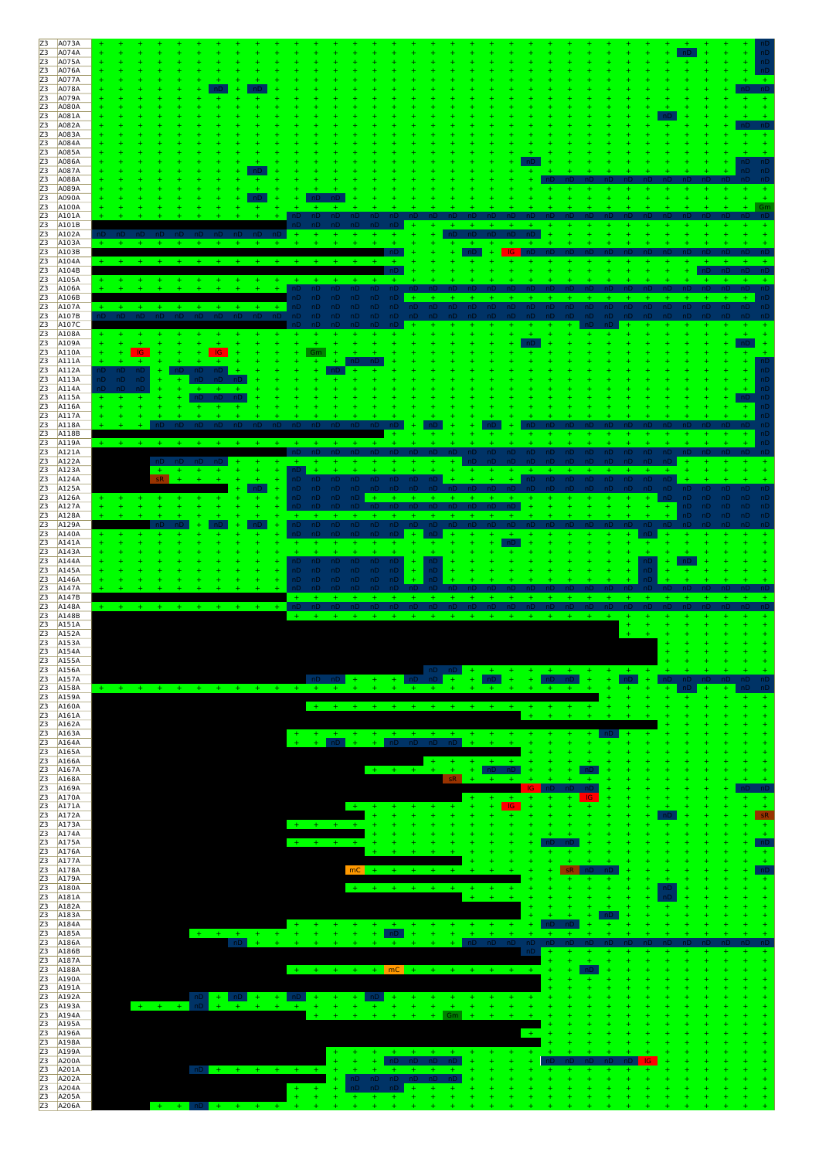| Z3       |                      |                                                                                                               |
|----------|----------------------|---------------------------------------------------------------------------------------------------------------|
|          | A073A                |                                                                                                               |
| Z3       | A074A                |                                                                                                               |
| Z3       | A075A                |                                                                                                               |
| Z3       | A076A                |                                                                                                               |
| Z3       | A077A                |                                                                                                               |
| Z3       | A078A                |                                                                                                               |
| Z3       | A079A                |                                                                                                               |
| Z3       | A080A                |                                                                                                               |
| Z3       | A081A                |                                                                                                               |
| Z3       | A082A                |                                                                                                               |
| Z3       | A083A                |                                                                                                               |
| Z3       | A084A                |                                                                                                               |
| Z3<br>Z3 | A085A                |                                                                                                               |
|          | A086A<br>A087A       | nD<br>nD                                                                                                      |
| Z3<br>Z3 | A088A                |                                                                                                               |
| Z3       | A089A                |                                                                                                               |
| Z3       | A090A                |                                                                                                               |
| Z3       | A100A                |                                                                                                               |
| Z3       | A101A                |                                                                                                               |
| Z3       | A101B                |                                                                                                               |
| Z3       | A102A                |                                                                                                               |
| Z3       | A103A                |                                                                                                               |
| Z3       | A103B                | -IG.<br>nD                                                                                                    |
| Z3       | A104A                |                                                                                                               |
| Z3       | A104B                |                                                                                                               |
| Z3       | A105A                |                                                                                                               |
| Z3       | A106A                | nD.<br>nD<br>'nП                                                                                              |
| Z3<br>Z3 | A106B<br>A107A       | nD.<br>nD.<br>٦D<br>nD.<br>nD.<br>nD.<br>nD<br>nD                                                             |
| Z3       | A107B                | nD.<br>nD<br>nD<br>nD<br>- nD<br>nD.<br>nD.<br>nD.<br>nD.<br>nD.<br>nD<br><b>nD</b>                           |
| Z3       | A107C                |                                                                                                               |
| Z3       | A108A                |                                                                                                               |
| Z3       | A109A                |                                                                                                               |
| Z3       | A110A                | <b>IG</b><br>IG.<br>Gm                                                                                        |
| Z3       | A111A                | ÷                                                                                                             |
| Z3       | A112A                | ÷<br>nD                                                                                                       |
| Z3       | A113A                | nD.<br><b>nD</b><br>ıD.                                                                                       |
| Z3<br>Z3 | A114A                | $+$                                                                                                           |
| Z3       | A115A<br>A116A       |                                                                                                               |
| Z3       | A117A                |                                                                                                               |
| Z3       | A118A                |                                                                                                               |
| Z3       | A118B                |                                                                                                               |
| Z3       | A119A                |                                                                                                               |
| Z3       | A121A                | nD.<br>nD.<br>nD.                                                                                             |
| Z3       | A122A                | $+$                                                                                                           |
| Z3       | A123A                | $+$<br>nD                                                                                                     |
| Z3       | A124A                | sR<br>nD.<br>nD.<br>nD.<br>nD.<br>$nD \t D$<br>nD.<br>nD<br>$+$<br>nD.<br>nD.<br>-nD<br>-nD<br>nD<br>nD<br>nD |
| Z3<br>Z3 | A125A<br>A126A       | nD -<br>nD nD<br>nD nD<br>nD<br>-nD<br>nD nD nD<br>nD<br>$+$<br>nD.<br>-nD<br>$+$                             |
| Z3       | A127A                | nD<br>$+$<br>$+$                                                                                              |
| Z3       | A128A                | $+$<br>$+$<br>$+$                                                                                             |
| Z3       | A129A                | nD.<br>nD nD<br>nD.<br>nD.<br>nD<br>nD<br>-nD                                                                 |
| Z3       | A140A                | nD.<br>nD.<br>nD<br>nD.<br>-nD<br>$\pm$                                                                       |
| Z3       | A141A                | ÷<br>$+$<br>$\pm$                                                                                             |
| Z3       | A143A                | ÷                                                                                                             |
| Z3       | A144A                | $+$<br>nD.<br>nD<br>nD.<br>nD.<br>nD.<br>nD.<br>nD<br>.nD                                                     |
| Z3       | A145A                | nD.<br>nD<br>nD<br>nD.<br>nD.<br>nD.<br>nD                                                                    |
| Z3       | A146A                | nD.<br>nD -<br>nD.<br>nD.<br>nD.<br>nD                                                                        |
| Z3       | A147A                |                                                                                                               |
| Z3       | A147B                |                                                                                                               |
| Z3       | A148A                | $nD$ $nD$                                                                                                     |
| Z3       | A148B                | $+$<br>$+$<br>$+$<br>$+$                                                                                      |
| Z3       | A151A                |                                                                                                               |
| Z3       | A152A                |                                                                                                               |
| Z3       | A153A<br>Z3 A154A    |                                                                                                               |
| Z3       | A155A                |                                                                                                               |
| Z3       | A156A                | $nD$ $nD$ $+$ $+$ $+$ $+$ $+$ $+$ $+$ $+$<br>$+ - +$                                                          |
| Z3       | A157A                | nD<br>$+$ $+$ nD nD $+$<br>$\pm$<br>nD.<br>$+ + + + +$<br>∴nD I<br>$+$ $-$<br>$+$<br>÷.                       |
| Z3       | A158A                | <b>Hart</b><br><b>ALC</b><br>$\pm$<br>$+$<br>$+ + + +$<br>$+$<br>$-4$                                         |
| Z3       | A159A                |                                                                                                               |
| Z3       | A160A                |                                                                                                               |
|          | Z3 A161A             |                                                                                                               |
| Z3       | A162A                |                                                                                                               |
| Z3       | A163A                | $+$<br>$+$<br>$+$<br>$+$<br>$+$<br>$+$<br>$+$<br>$+$                                                          |
| Z3       | A164A                | nD<br>$+$<br>$+$ nD nD nD nD<br>$+$<br>$+$<br>$+$<br>$+$<br>$+$<br>÷                                          |
| Z3       | A165A                |                                                                                                               |
| Z3<br>Z3 | A166A                |                                                                                                               |
|          |                      | $40\%$                                                                                                        |
|          | A167A                | $\pm$ .<br>nD<br>$+ - + - +$<br>- nD<br>$+$<br>$+$                                                            |
| Z3<br>Z3 | A168A<br>A169A       | sR.<br>IG.                                                                                                    |
| Z3       | A170A                | $+$<br>÷<br>-IG.                                                                                              |
|          | Z3 A171A             | -IG.<br>$+$<br>$+$<br>$+$                                                                                     |
| Z3       | A172A                | sR.<br>$+$                                                                                                    |
| Z3       | A173A                | $+ + + + + +$<br>$+$                                                                                          |
| Z3       | A174A                |                                                                                                               |
| Z3       | A175A                | $+ + + + + + +$                                                                                               |
| Z3       | A176A                |                                                                                                               |
| Z3       | A177A                | $+$<br>$+$<br>$+$                                                                                             |
| Z3<br>Z3 | A178A<br>A179A       | $mc +$                                                                                                        |
|          | Z3 A180A             | $+ + + + + + + + + +$<br>÷<br>nD                                                                              |
|          | Z3 A181A             |                                                                                                               |
| Z3       | A182A                |                                                                                                               |
| Z3       | A183A                |                                                                                                               |
|          | Z3 A184A             | $+$<br>$+$<br>$+$                                                                                             |
|          | Z3 A185A             | $+ + + + + + + + + +$<br>$+$<br>$+$<br>nD<br>$+$<br>$\pm$<br>$+$<br>÷                                         |
|          | Z3 A186A             | nD.<br>nD<br>$\pm$<br>nD.<br>-nD<br>nD                                                                        |
|          | A186B                | nD<br>$+$                                                                                                     |
| Z3<br>Z3 | A187A                | $+$                                                                                                           |
| Z3       | A188A                | + + + + <mark>mC</mark> + + + + + + +                                                                         |
|          | Z3 A190A<br>Z3 A191A |                                                                                                               |
|          | Z3 A192A             | $+$ nD $+$ $+$ nD<br>n <sub>D</sub><br>$+$<br>$+$<br>$+$<br>$+$<br>÷                                          |
| Z3       | A193A                | $+$<br>$+ - + -$<br>$+$<br>$+$<br>$\ddot{}$<br>$+$<br>$+$<br>$+$<br>$\ddot{}$<br>$+$<br>$\ddot{}$             |
|          | A194A                | Gm                                                                                                            |
| Z3       | Z3 A195A             |                                                                                                               |
| Z3       | A196A                |                                                                                                               |
| Z3       | A198A                |                                                                                                               |
|          | A199A                | $+$<br>$+$<br>$+$                                                                                             |
| Z3<br>Z3 | A200A                | $+$<br>$+$<br>$+$<br>$\ddot{}$<br>÷<br>nD nD nD nD<br>$+$<br>$+$<br>$+$                                       |
| Z3       | A201A                | $nD + + + + + + + + + +$<br>$+ + + +$<br>$+$                                                                  |
| Z3<br>Z3 | A202A                | nD nD nD nD nD nD<br>$+$<br>$+$<br>$+1$<br>$+$                                                                |
| Z3       | A204A<br>A205A       | nD nD nD<br>÷<br>$\ddot{}$<br>$+$<br>$+$<br>$+$                                                               |